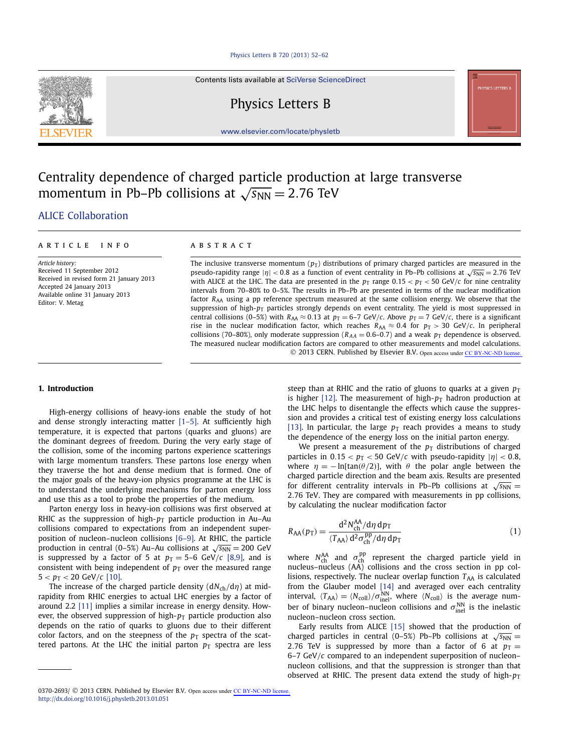# [Physics Letters B 720 \(2013\) 52–62](http://dx.doi.org/10.1016/j.physletb.2013.01.051)

Contents lists available at [SciVerse ScienceDirect](http://www.ScienceDirect.com/)

Physics Letters B

[www.elsevier.com/locate/physletb](http://www.elsevier.com/locate/physletb)

# Centrality dependence of charged particle production at large transverse momentum in Pb–Pb collisions at  $\sqrt{s_{NN}} = 2.76$  TeV

# [.ALICE Collaboration](#page-5-0)

## article info abstract

*Article history:* Received 11 September 2012 Received in revised form 21 January 2013 Accepted 24 January 2013 Available online 31 January 2013 Editor: V. Metag

The inclusive transverse momentum  $(p_T)$  distributions of primary charged particles are measured in the pseudo-rapidity range  $|\eta|$  < 0.8 as a function of event centrality in Pb–Pb collisions at  $\sqrt{s_{NN}}$  = 2.76 TeV with ALICE at the LHC. The data are presented in the  $p<sub>T</sub>$  range 0.15  $< p<sub>T</sub> < 50$  GeV/*c* for nine centrality intervals from 70–80% to 0–5%. The results in Pb–Pb are presented in terms of the nuclear modification factor *R<sub>AA</sub>* using a pp reference spectrum measured at the same collision energy. We observe that the suppression of high- $p_T$  particles strongly depends on event centrality. The yield is most suppressed in central collisions (0–5%) with  $R_{AA} \approx 0.13$  at  $p_T = 6$ –7 GeV/*c*. Above  $p_T = 7$  GeV/*c*, there is a significant rise in the nuclear modification factor, which reaches  $R_{AA} \approx 0.4$  for  $p_T > 30$  GeV/*c*. In peripheral collisions (70–80%), only moderate suppression ( $R_{AA} = 0.6$ –0.7) and a weak  $p_T$  dependence is observed. The measured nuclear modification factors are compared to other measurements and model calculations. © 2013 CERN. Published by Elsevier B.V. Open access under [CC BY-NC-ND license.](http://creativecommons.org/licenses/by-nc-nd/4.0/)

# **1. Introduction**

High-energy collisions of heavy-ions enable the study of hot and dense strongly interacting matter [\[1–5\].](#page-5-0) At sufficiently high temperature, it is expected that partons (quarks and gluons) are the dominant degrees of freedom. During the very early stage of the collision, some of the incoming partons experience scatterings with large momentum transfers. These partons lose energy when they traverse the hot and dense medium that is formed. One of the major goals of the heavy-ion physics programme at the LHC is to understand the underlying mechanisms for parton energy loss and use this as a tool to probe the properties of the medium.

Parton energy loss in heavy-ion collisions was first observed at RHIC as the suppression of high- $p<sub>T</sub>$  particle production in Au-Au collisions compared to expectations from an independent superposition of nucleon–nucleon collisions [\[6–9\].](#page-5-0) At RHIC, the particle production in central (0–5%) Au–Au collisions at  $\sqrt{s_{NN}}$  = 200 GeV is suppressed by a factor of 5 at  $p_T = 5-6$  GeV/ $c$  [\[8,9\],](#page-5-0) and is consistent with being independent of  $p<sub>T</sub>$  over the measured range  $5 < p_{\text{T}} < 20 \text{ GeV}/c$  [\[10\].](#page-5-0)

The increase of the charged particle density (d*N*<sub>ch</sub>/d*η*) at midrapidity from RHIC energies to actual LHC energies by a factor of around 2.2 [\[11\]](#page-5-0) implies a similar increase in energy density. However, the observed suppression of high- $p<sub>T</sub>$  particle production also depends on the ratio of quarks to gluons due to their different color factors, and on the steepness of the  $p<sub>T</sub>$  spectra of the scattered partons. At the LHC the initial parton  $p_T$  spectra are less

We present a measurement of the  $p<sub>T</sub>$  distributions of charged particles in  $0.15 < p_T < 50$  GeV/*c* with pseudo-rapidity  $|\eta| < 0.8$ , where  $\eta = -\ln[\tan(\theta/2)]$ , with  $\theta$  the polar angle between the charged particle direction and the beam axis. Results are presented for different centrality intervals in Pb–Pb collisions at  $\sqrt{s_{NN}} =$ 2*.*76 TeV. They are compared with measurements in pp collisions, by calculating the nuclear modification factor

$$
R_{AA}(p_T) = \frac{\mathrm{d}^2 N_{\rm ch}^{AA} / \mathrm{d}\eta \,\mathrm{d}p_T}{\langle T_{AA}\rangle \,\mathrm{d}^2 \sigma_{\rm ch}^{pp} / \mathrm{d}\eta \,\mathrm{d}p_T}
$$
(1)

where  $N_{\text{ch}}^{\text{AA}}$  and  $\sigma_{\text{ch}}^{\text{pp}}$  represent the charged particle yield in nucleus–nucleus (AA) collisions and the cross section in pp collisions, respectively. The nuclear overlap function  $T<sub>AA</sub>$  is calculated from the Glauber model [\[14\]](#page-5-0) and averaged over each centrality interval,  $\langle T_{AA} \rangle = \langle N_{\text{coll}} \rangle / \sigma_{\text{inel}}^{\text{NN}}$ , where  $\langle N_{\text{coll}} \rangle$  is the average number of binary nucleon–nucleon collisions and  $\sigma_{\text{inel}}^{\text{NN}}$  is the inelastic nucleon–nucleon cross section.

Early results from ALICE [\[15\]](#page-5-0) showed that the production of charged particles in central (0–5%) Pb–Pb collisions at  $\sqrt{s_{NN}}$  = 2.76 TeV is suppressed by more than a factor of 6 at  $p_T =$ 6–7 GeV*/c* compared to an independent superposition of nucleon– nucleon collisions, and that the suppression is stronger than that observed at RHIC. The present data extend the study of high- $p_T$ 



steep than at RHIC and the ratio of gluons to quarks at a given  $p_T$ is higher [\[12\].](#page-5-0) The measurement of high- $p<sub>T</sub>$  hadron production at the LHC helps to disentangle the effects which cause the suppression and provides a critical test of existing energy loss calculations [\[13\].](#page-5-0) In particular, the large  $p<sub>T</sub>$  reach provides a means to study the dependence of the energy loss on the initial parton energy.

<sup>0370-2693/ © 2013</sup> CERN. Published by Elsevier B.V. Open access under [CC BY-NC-ND license.](http://creativecommons.org/licenses/by-nc-nd/4.0/) <http://dx.doi.org/10.1016/j.physletb.2013.01.051>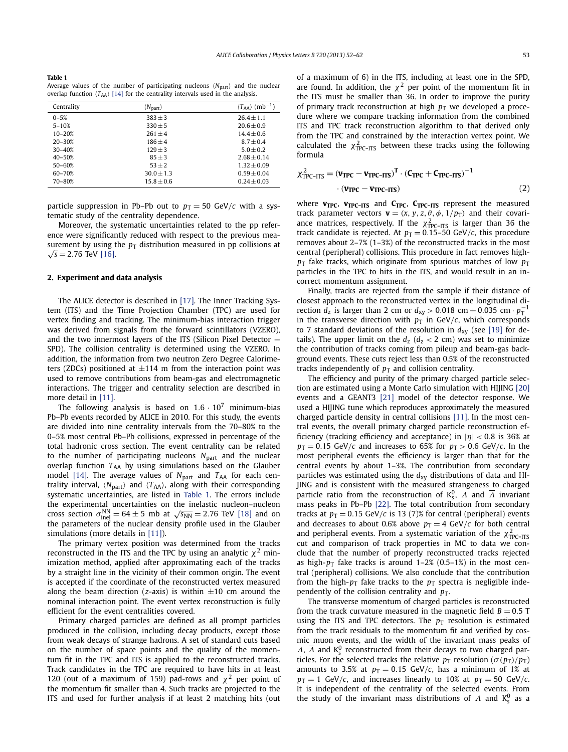<span id="page-1-0"></span>**Table 1** Average values of the number of participating nucleons  $\langle N_{\text{part}} \rangle$  and the nuclear overlap function  $\langle T_{AA} \rangle$  [\[14\]](#page-5-0) for the centrality intervals used in the analysis.

| Centrality | $\langle N_{\text{part}} \rangle$ | $\langle T_{AA} \rangle$ (mb <sup>-1</sup> ) |
|------------|-----------------------------------|----------------------------------------------|
| $0 - 5%$   | $383 + 3$                         | $26.4 + 1.1$                                 |
| $5 - 10%$  | $330 + 5$                         | $20.6 + 0.9$                                 |
| $10 - 20%$ | $261 + 4$                         | $14.4 + 0.6$                                 |
| $20 - 30%$ | $186 + 4$                         | $8.7 + 0.4$                                  |
| $30 - 40%$ | $129 + 3$                         | $5.0 + 0.2$                                  |
| $40 - 50%$ | $85 + 3$                          | $2.68 + 0.14$                                |
| $50 - 60%$ | $53 + 2$                          | $1.32 + 0.09$                                |
| 60-70%     | $30.0 + 1.3$                      | $0.59 + 0.04$                                |
| 70-80%     | $15.8 \pm 0.6$                    | $0.24 + 0.03$                                |
|            |                                   |                                              |

particle suppression in Pb–Pb out to  $p_T = 50$  GeV/*c* with a systematic study of the centrality dependence.

Moreover, the systematic uncertainties related to the pp reference were significantly reduced with respect to the previous measurement by using the  $p<sub>T</sub>$  distribution measured in pp collisions at  $√s = 2.76$  TeV [\[16\].](#page-5-0)

# **2. Experiment and data analysis**

The ALICE detector is described in [\[17\].](#page-5-0) The Inner Tracking System (ITS) and the Time Projection Chamber (TPC) are used for vertex finding and tracking. The minimum-bias interaction trigger was derived from signals from the forward scintillators (VZERO), and the two innermost layers of the ITS (Silicon Pixel Detector — SPD). The collision centrality is determined using the VZERO. In addition, the information from two neutron Zero Degree Calorimeters (ZDCs) positioned at  $\pm$ 114 m from the interaction point was used to remove contributions from beam-gas and electromagnetic interactions. The trigger and centrality selection are described in more detail in [\[11\].](#page-5-0)

The following analysis is based on  $1.6 \cdot 10^7$  minimum-bias Pb–Pb events recorded by ALICE in 2010. For this study, the events are divided into nine centrality intervals from the 70–80% to the 0–5% most central Pb–Pb collisions, expressed in percentage of the total hadronic cross section. The event centrality can be related to the number of participating nucleons N<sub>part</sub> and the nuclear overlap function T<sub>AA</sub> by using simulations based on the Glauber model [\[14\].](#page-5-0) The average values of  $N_{part}$  and  $T_{AA}$  for each centrality interval,  $\langle N_{\text{part}} \rangle$  and  $\langle T_{AA} \rangle$ , along with their corresponding systematic uncertainties, are listed in Table 1. The errors include the experimental uncertainties on the inelastic nucleon–nucleon cross section  $\sigma_{\text{inel}}^{\text{NN}} = 64 \pm 5$  mb at  $\sqrt{s_{\text{NN}}} = 2.76$  TeV [\[18\]](#page-5-0) and on the parameters of the nuclear density profile used in the Glauber simulations (more details in [\[11\]\)](#page-5-0).

The primary vertex position was determined from the tracks reconstructed in the ITS and the TPC by using an analytic *χ*<sup>2</sup> minimization method, applied after approximating each of the tracks by a straight line in the vicinity of their common origin. The event is accepted if the coordinate of the reconstructed vertex measured along the beam direction (*z*-axis) is within  $\pm 10$  cm around the nominal interaction point. The event vertex reconstruction is fully efficient for the event centralities covered.

Primary charged particles are defined as all prompt particles produced in the collision, including decay products, except those from weak decays of strange hadrons. A set of standard cuts based on the number of space points and the quality of the momentum fit in the TPC and ITS is applied to the reconstructed tracks. Track candidates in the TPC are required to have hits in at least 120 (out of a maximum of 159) pad-rows and  $\chi^2$  per point of the momentum fit smaller than 4. Such tracks are projected to the ITS and used for further analysis if at least 2 matching hits (out of a maximum of 6) in the ITS, including at least one in the SPD, are found. In addition, the  $\chi^2$  per point of the momentum fit in the ITS must be smaller than 36. In order to improve the purity of primary track reconstruction at high  $p_T$  we developed a procedure where we compare tracking information from the combined ITS and TPC track reconstruction algorithm to that derived only from the TPC and constrained by the interaction vertex point. We calculated the  $\chi^2_{\text{TPC-ITS}}$  between these tracks using the following formula

$$
\chi^2_{\text{TPC-ITS}} = (\mathbf{v}_{\text{TPC}} - \mathbf{v}_{\text{TPC-ITS}})^{\text{T}} \cdot (\mathbf{C}_{\text{TPC}} + \mathbf{C}_{\text{TPC-ITS}})^{-1}
$$
  
· (\mathbf{v}\_{\text{TPC}} - \mathbf{v}\_{\text{TPC-ITS}}) (2)

where **v**<sub>TPC</sub>, **v**<sub>TPC</sub>-ITS and **C**<sub>TPC</sub>, **C**<sub>TPC</sub>-ITS represent the measured track parameter vectors  $\mathbf{v} = (x, y, z, \theta, \phi, 1/p_T)$  and their covariance matrices, respectively. If the  $\chi^2_{\text{TPC-TIS}}$  is larger than 36 the track candidate is rejected. At  $p_T = 0.15-50$  GeV/*c*, this procedure removes about 2–7% (1–3%) of the reconstructed tracks in the most central (peripheral) collisions. This procedure in fact removes high $p_T$  fake tracks, which originate from spurious matches of low  $p_T$ particles in the TPC to hits in the ITS, and would result in an incorrect momentum assignment.

Finally, tracks are rejected from the sample if their distance of closest approach to the reconstructed vertex in the longitudinal direction  $d_z$  is larger than 2 cm or  $d_{xy} > 0.018$  cm + 0.035 cm ·  $p_T^{-1}$ in the transverse direction with  $p_T$  in GeV/*c*, which corresponds to 7 standard deviations of the resolution in  $d_{xy}$  (see [\[19\]](#page-5-0) for details). The upper limit on the  $d_2$  ( $d_2$  < 2 cm) was set to minimize the contribution of tracks coming from pileup and beam-gas background events. These cuts reject less than 0.5% of the reconstructed tracks independently of  $p<sub>T</sub>$  and collision centrality.

The efficiency and purity of the primary charged particle selection are estimated using a Monte Carlo simulation with HIJING [\[20\]](#page-5-0) events and a GEANT3 [\[21\]](#page-5-0) model of the detector response. We used a HIJING tune which reproduces approximately the measured charged particle density in central collisions [\[11\].](#page-5-0) In the most central events, the overall primary charged particle reconstruction efficiency (tracking efficiency and acceptance) in |*η*| *<* <sup>0</sup>*.*8 is 36% at  $p_T = 0.15$  GeV/*c* and increases to 65% for  $p_T > 0.6$  GeV/*c*. In the most peripheral events the efficiency is larger than that for the central events by about 1–3%. The contribution from secondary particles was estimated using the  $d_{xy}$  distributions of data and HI-JING and is consistent with the measured strangeness to charged particle ratio from the reconstruction of  $K_s^0$ ,  $\Lambda$  and  $\overline{\Lambda}$  invariant mass peaks in Pb–Pb [\[22\].](#page-5-0) The total contribution from secondary tracks at  $p_T = 0.15$  GeV/*c* is 13 (7)% for central (peripheral) events and decreases to about 0.6% above  $p_T = 4$  GeV/ $c$  for both central and peripheral events. From a systematic variation of the  $\chi^2_{\text{TPC-ITS}}$ cut and comparison of track properties in MC to data we conclude that the number of properly reconstructed tracks rejected as high- $p_T$  fake tracks is around  $1-2\%$  (0.5–1%) in the most central (peripheral) collisions. We also conclude that the contribution from the high- $p_T$  fake tracks to the  $p_T$  spectra is negligible independently of the collision centrality and  $p<sub>T</sub>$ .

The transverse momentum of charged particles is reconstructed from the track curvature measured in the magnetic field  $B = 0.5$  T using the ITS and TPC detectors. The  $p<sub>T</sub>$  resolution is estimated from the track residuals to the momentum fit and verified by cosmic muon events, and the width of the invariant mass peaks of  $Λ$ ,  $\overline{Λ}$  and K<sup>0</sup><sub>s</sub> reconstructed from their decays to two charged particles. For the selected tracks the relative  $p_T$  resolution ( $\sigma(p_T)/p_T$ ) amounts to 3.5% at  $p_T = 0.15$  GeV/*c*, has a minimum of 1% at  $p_T = 1$  GeV/*c*, and increases linearly to 10% at  $p_T = 50$  GeV/*c*. It is independent of the centrality of the selected events. From the study of the invariant mass distributions of  $\Lambda$  and  $K_s^0$  as a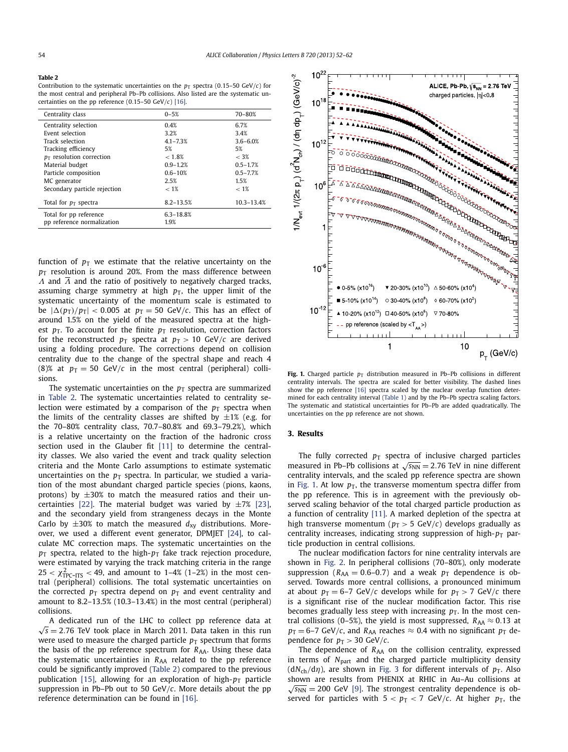### **Table 2**

Contribution to the systematic uncertainties on the  $p<sub>T</sub>$  spectra (0.15–50 GeV/*c*) for the most central and peripheral Pb–Pb collisions. Also listed are the systematic uncertainties on the pp reference (0*.*15–50 GeV*/c*) [\[16\].](#page-5-0)

| Centrality class             | $0 - 5%$      | 70-80%       |
|------------------------------|---------------|--------------|
| Centrality selection         | 0.4%          | 6.7%         |
| Event selection              | 3.2%          | 3.4%         |
| Track selection              | $4.1 - 7.3%$  | $3.6 - 6.0%$ |
| Tracking efficiency          | 5%            | 5%           |
| $p_T$ resolution correction  | < 1.8%        | $< 3\%$      |
| Material budget              | $0.9 - 1.2%$  | $0.5 - 1.7%$ |
| Particle composition         | $0.6 - 10%$   | $0.5 - 7.7%$ |
| MC generator                 | 2.5%          | 1.5%         |
| Secondary particle rejection | $< 1\%$       | $< 1\%$      |
| Total for $p_T$ spectra      | $8.2 - 13.5%$ | 10.3-13.4%   |
| Total for pp reference       | $6.3 - 18.8%$ |              |
| pp reference normalization   | 1.9%          |              |

function of  $p_T$  we estimate that the relative uncertainty on the  $p_T$  resolution is around 20%. From the mass difference between *Λ* and  $\overline{\Lambda}$  and the ratio of positively to negatively charged tracks, assuming charge symmetry at high  $p<sub>T</sub>$ , the upper limit of the systematic uncertainty of the momentum scale is estimated to be  $|\Delta(p_T)/p_T|$  < 0.005 at  $p_T = 50$  GeV/*c*. This has an effect of around 1.5% on the yield of the measured spectra at the highest  $p_T$ . To account for the finite  $p_T$  resolution, correction factors for the reconstructed  $p<sub>T</sub>$  spectra at  $p<sub>T</sub> > 10$  GeV/*c* are derived using a folding procedure. The corrections depend on collision centrality due to the change of the spectral shape and reach 4 (8)% at  $p_T = 50$  GeV/*c* in the most central (peripheral) collisions.

The systematic uncertainties on the  $p<sub>T</sub>$  spectra are summarized in Table 2. The systematic uncertainties related to centrality selection were estimated by a comparison of the  $p<sub>T</sub>$  spectra when the limits of the centrality classes are shifted by  $\pm 1\%$  (e.g. for the 70–80% centrality class, 70.7–80.8% and 69.3–79.2%), which is a relative uncertainty on the fraction of the hadronic cross section used in the Glauber fit [\[11\]](#page-5-0) to determine the centrality classes. We also varied the event and track quality selection criteria and the Monte Carlo assumptions to estimate systematic uncertainties on the  $p<sub>T</sub>$  spectra. In particular, we studied a variation of the most abundant charged particle species (pions, kaons, protons) by  $\pm 30$ % to match the measured ratios and their un-certainties [\[22\].](#page-5-0) The material budget was varied by  $\pm 7\%$  [\[23\],](#page-5-0) and the secondary yield from strangeness decays in the Monte Carlo by  $\pm 30\%$  to match the measured  $d_{xy}$  distributions. Moreover, we used a different event generator, DPMJET [\[24\],](#page-5-0) to calculate MC correction maps. The systematic uncertainties on the  $p_T$  spectra, related to the high- $p_T$  fake track rejection procedure, were estimated by varying the track matching criteria in the range  $25 < \chi^2_{TPC-ITS} < 49$ , and amount to 1–4% (1–2%) in the most central (peripheral) collisions. The total systematic uncertainties on the corrected  $p_T$  spectra depend on  $p_T$  and event centrality and amount to 8.2–13.5% (10.3–13.4%) in the most central (peripheral) collisions.

A dedicated run of the LHC to collect pp reference data at <sup>√</sup>*<sup>s</sup>* <sup>=</sup> <sup>2</sup>*.*76 TeV took place in March 2011. Data taken in this run were used to measure the charged particle  $p<sub>T</sub>$  spectrum that forms the basis of the pp reference spectrum for *R*<sub>AA</sub>. Using these data the systematic uncertainties in R<sub>AA</sub> related to the pp reference could be significantly improved (Table 2) compared to the previous publication [\[15\],](#page-5-0) allowing for an exploration of high- $p<sub>T</sub>$  particle suppression in Pb–Pb out to 50 GeV*/c*. More details about the pp reference determination can be found in [\[16\].](#page-5-0)



Fig. 1. Charged particle  $p_T$  distribution measured in Pb-Pb collisions in different centrality intervals. The spectra are scaled for better visibility. The dashed lines show the pp reference [\[16\]](#page-5-0) spectra scaled by the nuclear overlap function determined for each centrality interval [\(Table 1\)](#page-1-0) and by the Pb–Pb spectra scaling factors. The systematic and statistical uncertainties for Pb–Pb are added quadratically. The uncertainties on the pp reference are not shown.

# **3. Results**

The fully corrected  $p_T$  spectra of inclusive charged particles measured in Pb–Pb collisions at  $\sqrt{s_{NN}}$  = 2.76 TeV in nine different centrality intervals, and the scaled pp reference spectra are shown in Fig. 1. At low  $p<sub>T</sub>$ , the transverse momentum spectra differ from the pp reference. This is in agreement with the previously observed scaling behavior of the total charged particle production as a function of centrality [\[11\].](#page-5-0) A marked depletion of the spectra at high transverse momentum ( $p_T > 5$  GeV/ $c$ ) develops gradually as centrality increases, indicating strong suppression of high- $p<sub>T</sub>$  particle production in central collisions.

The nuclear modification factors for nine centrality intervals are shown in [Fig. 2.](#page-3-0) In peripheral collisions (70–80%), only moderate suppression ( $R_{AA} = 0.6-0.7$ ) and a weak  $p_T$  dependence is observed. Towards more central collisions, a pronounced minimum at about  $p_T = 6-7$  GeV/*c* develops while for  $p_T > 7$  GeV/*c* there is a significant rise of the nuclear modification factor. This rise becomes gradually less steep with increasing  $p<sub>T</sub>$ . In the most central collisions (0–5%), the yield is most suppressed,  $R_{AA} \approx 0.13$  at  $p_T = 6-7$  GeV/*c*, and  $R_{AA}$  reaches  $\approx 0.4$  with no significant  $p_T$  dependence for  $p_T > 30$  GeV/*c*.

The dependence of R<sub>AA</sub> on the collision centrality, expressed in terms of *N*part and the charged particle multiplicity density  $(dN_{ch}/d\eta)$ , are shown in [Fig. 3](#page-4-0) for different intervals of  $p_T$ . Also shown are results from PHENIX at RHIC in Au–Au collisions at  $\sqrt{s_{NN}}$  = 200 GeV [\[9\].](#page-5-0) The strongest centrality dependence is observed for particles with  $5 < p_T < 7$  GeV/*c*. At higher  $p_T$ , the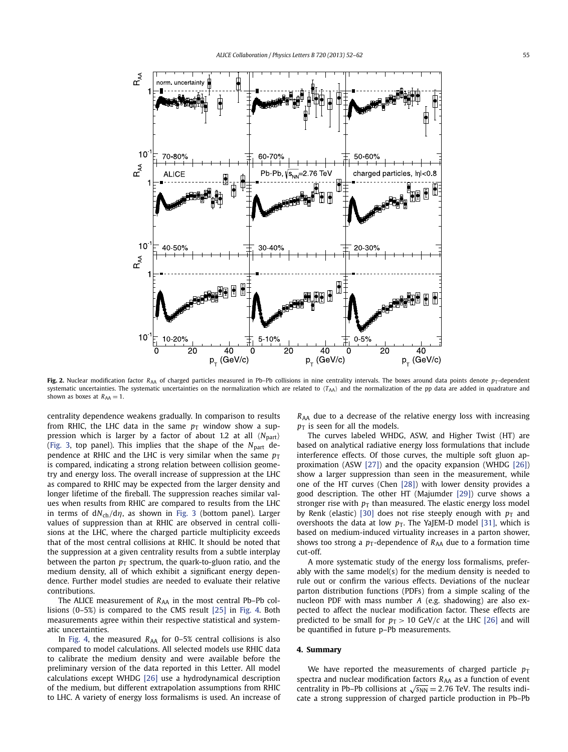<span id="page-3-0"></span>

**Fig. 2.** Nuclear modification factor  $R_{AA}$  of charged particles measured in Pb–Pb collisions in nine centrality intervals. The boxes around data points denote  $p_T$ -dependent systematic uncertainties. The systematic uncertainties on the normalization which are related to  $\langle T_{AA}\rangle$  and the normalization of the pp data are added in quadrature and shown as boxes at  $R_{AA} = 1$ .

centrality dependence weakens gradually. In comparison to results from RHIC, the LHC data in the same  $p_T$  window show a suppression which is larger by a factor of about 1.2 at all *N*part [\(Fig. 3,](#page-4-0) top panel). This implies that the shape of the *N*part dependence at RHIC and the LHC is very similar when the same  $p_T$ is compared, indicating a strong relation between collision geometry and energy loss. The overall increase of suppression at the LHC as compared to RHIC may be expected from the larger density and longer lifetime of the fireball. The suppression reaches similar values when results from RHIC are compared to results from the LHC in terms of d*N*ch*/*d*η*, as shown in [Fig. 3](#page-4-0) (bottom panel). Larger values of suppression than at RHIC are observed in central collisions at the LHC, where the charged particle multiplicity exceeds that of the most central collisions at RHIC. It should be noted that the suppression at a given centrality results from a subtle interplay between the parton  $p_T$  spectrum, the quark-to-gluon ratio, and the medium density, all of which exhibit a significant energy dependence. Further model studies are needed to evaluate their relative contributions.

The ALICE measurement of *R*<sub>AA</sub> in the most central Pb–Pb collisions (0–5%) is compared to the CMS result [\[25\]](#page-5-0) in [Fig. 4.](#page-4-0) Both measurements agree within their respective statistical and systematic uncertainties.

In [Fig. 4,](#page-4-0) the measured *R*<sub>AA</sub> for 0-5% central collisions is also compared to model calculations. All selected models use RHIC data to calibrate the medium density and were available before the preliminary version of the data reported in this Letter. All model calculations except WHDG [\[26\]](#page-5-0) use a hydrodynamical description of the medium, but different extrapolation assumptions from RHIC to LHC. A variety of energy loss formalisms is used. An increase of *R*<sub>AA</sub> due to a decrease of the relative energy loss with increasing  $p_T$  is seen for all the models.

The curves labeled WHDG, ASW, and Higher Twist (HT) are based on analytical radiative energy loss formulations that include interference effects. Of those curves, the multiple soft gluon approximation (ASW [\[27\]\)](#page-5-0) and the opacity expansion (WHDG [\[26\]\)](#page-5-0) show a larger suppression than seen in the measurement, while one of the HT curves (Chen [\[28\]\)](#page-5-0) with lower density provides a good description. The other HT (Majumder [\[29\]\)](#page-5-0) curve shows a stronger rise with  $p<sub>T</sub>$  than measured. The elastic energy loss model by Renk (elastic) [\[30\]](#page-5-0) does not rise steeply enough with  $p<sub>T</sub>$  and overshoots the data at low  $p_T$ . The YaJEM-D model [\[31\],](#page-5-0) which is based on medium-induced virtuality increases in a parton shower, shows too strong a  $p_T$ -dependence of  $R_{AA}$  due to a formation time cut-off.

A more systematic study of the energy loss formalisms, preferably with the same model(s) for the medium density is needed to rule out or confirm the various effects. Deviations of the nuclear parton distribution functions (PDFs) from a simple scaling of the nucleon PDF with mass number *A* (e.g. shadowing) are also expected to affect the nuclear modification factor. These effects are predicted to be small for  $p_T > 10$  GeV/*c* at the LHC [\[26\]](#page-5-0) and will be quantified in future p–Pb measurements.

# **4. Summary**

We have reported the measurements of charged particle  $p_T$ spectra and nuclear modification factors  $R_{AA}$  as a function of event centrality in Pb–Pb collisions at  $\sqrt{s_{NN}}$  = 2.76 TeV. The results indicate a strong suppression of charged particle production in Pb–Pb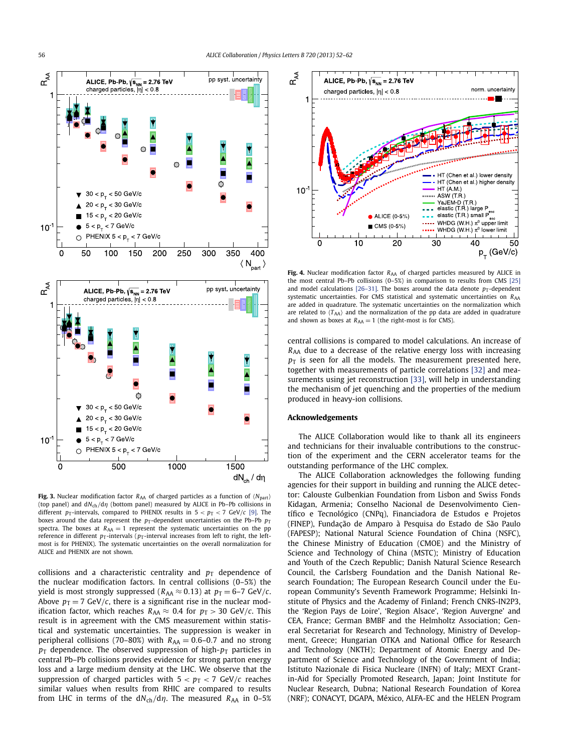<span id="page-4-0"></span>

**Fig. 3.** Nuclear modification factor  $R_{AA}$  of charged particles as a function of  $\langle N_{\text{part}} \rangle$ (top panel) and d*N*ch*/*d*η* (bottom panel) measured by ALICE in Pb–Pb collisions in different  $p_T$ -intervals, compared to PHENIX results in  $5 < p_T < 7$  GeV/ $c$  [\[9\].](#page-5-0) The boxes around the data represent the  $p_T$ -dependent uncertainties on the Pb–Pb  $p_T$ spectra. The boxes at  $R_{AA} = 1$  represent the systematic uncertainties on the pp reference in different  $p<sub>T</sub>$ -intervals ( $p<sub>T</sub>$ -interval increases from left to right, the leftmost is for PHENIX). The systematic uncertainties on the overall normalization for ALICE and PHENIX are not shown.

collisions and a characteristic centrality and  $p<sub>T</sub>$  dependence of the nuclear modification factors. In central collisions (0–5%) the yield is most strongly suppressed ( $R_{AA} \approx 0.13$ ) at  $p_T = 6-7$  GeV/*c*. Above  $p_T = 7$  GeV/*c*, there is a significant rise in the nuclear modification factor, which reaches  $R_{AA} \approx 0.4$  for  $p_T > 30$  GeV/*c*. This result is in agreement with the CMS measurement within statistical and systematic uncertainties. The suppression is weaker in peripheral collisions (70–80%) with  $R_{AA} = 0.6$ –0.7 and no strong  $p<sub>T</sub>$  dependence. The observed suppression of high- $p<sub>T</sub>$  particles in central Pb–Pb collisions provides evidence for strong parton energy loss and a large medium density at the LHC. We observe that the suppression of charged particles with  $5 < p_T < 7$  GeV/*c* reaches similar values when results from RHIC are compared to results from LHC in terms of the dN<sub>ch</sub>/dη. The measured R<sub>AA</sub> in 0-5%



Fig. 4. Nuclear modification factor R<sub>AA</sub> of charged particles measured by ALICE in the most central Pb–Pb collisions (0–5%) in comparison to results from CMS [\[25\]](#page-5-0) and model calculations [\[26–31\].](#page-5-0) The boxes around the data denote  $p_T$ -dependent systematic uncertainties. For CMS statistical and systematic uncertainties on *R*<sub>AA</sub> are added in quadrature. The systematic uncertainties on the normalization which are related to  $\langle T_{AA} \rangle$  and the normalization of the pp data are added in quadrature and shown as boxes at  $R_{AA} = 1$  (the right-most is for CMS).

central collisions is compared to model calculations. An increase of *R*AA due to a decrease of the relative energy loss with increasing  $p<sub>T</sub>$  is seen for all the models. The measurement presented here, together with measurements of particle correlations [\[32\]](#page-5-0) and measurements using jet reconstruction [\[33\],](#page-5-0) will help in understanding the mechanism of jet quenching and the properties of the medium produced in heavy-ion collisions.

# **Acknowledgements**

The ALICE Collaboration would like to thank all its engineers and technicians for their invaluable contributions to the construction of the experiment and the CERN accelerator teams for the outstanding performance of the LHC complex.

The ALICE Collaboration acknowledges the following funding agencies for their support in building and running the ALICE detector: Calouste Gulbenkian Foundation from Lisbon and Swiss Fonds Kidagan, Armenia; Conselho Nacional de Desenvolvimento Científico e Tecnológico (CNPq), Financiadora de Estudos e Projetos (FINEP), Fundação de Amparo à Pesquisa do Estado de São Paulo (FAPESP); National Natural Science Foundation of China (NSFC), the Chinese Ministry of Education (CMOE) and the Ministry of Science and Technology of China (MSTC); Ministry of Education and Youth of the Czech Republic; Danish Natural Science Research Council, the Carlsberg Foundation and the Danish National Research Foundation; The European Research Council under the European Community's Seventh Framework Programme; Helsinki Institute of Physics and the Academy of Finland; French CNRS-IN2P3, the 'Region Pays de Loire', 'Region Alsace', 'Region Auvergne' and CEA, France; German BMBF and the Helmholtz Association; General Secretariat for Research and Technology, Ministry of Development, Greece; Hungarian OTKA and National Office for Research and Technology (NKTH); Department of Atomic Energy and Department of Science and Technology of the Government of India; Istituto Nazionale di Fisica Nucleare (INFN) of Italy; MEXT Grantin-Aid for Specially Promoted Research, Japan; Joint Institute for Nuclear Research, Dubna; National Research Foundation of Korea (NRF); CONACYT, DGAPA, México, ALFA-EC and the HELEN Program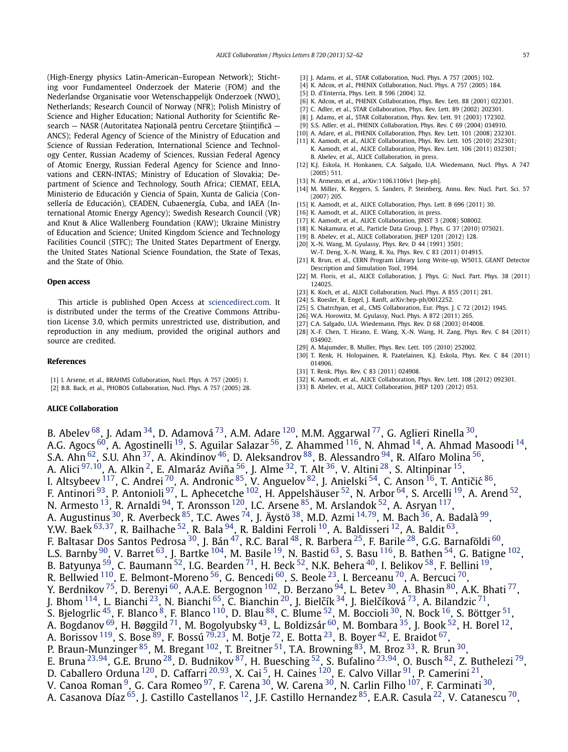<span id="page-5-0"></span>(High-Energy physics Latin-American–European Network); Stichting voor Fundamenteel Onderzoek der Materie (FOM) and the Nederlandse Organisatie voor Wetenschappelijk Onderzoek (NWO), Netherlands; Research Council of Norway (NFR); Polish Ministry of Science and Higher Education; National Authority for Scientific Research – NASR (Autoritatea Națională pentru Cercetare Științifică – ANCS); Federal Agency of Science of the Ministry of Education and Science of Russian Federation, International Science and Technology Center, Russian Academy of Sciences, Russian Federal Agency of Atomic Energy, Russian Federal Agency for Science and Innovations and CERN-INTAS; Ministry of Education of Slovakia; Department of Science and Technology, South Africa; CIEMAT, EELA, Ministerio de Educación y Ciencia of Spain, Xunta de Galicia (Consellería de Educación), CEADEN, Cubaenergía, Cuba, and IAEA (International Atomic Energy Agency); Swedish Research Council (VR) and Knut & Alice Wallenberg Foundation (KAW); Ukraine Ministry of Education and Science; United Kingdom Science and Technology Facilities Council (STFC); The United States Department of Energy, the United States National Science Foundation, the State of Texas, and the State of Ohio.

# **Open access**

This article is published Open Access at [sciencedirect.com.](http://www.sciencedirect.com) It is distributed under the terms of the Creative Commons Attribution License 3.0, which permits unrestricted use, distribution, and reproduction in any medium, provided the original authors and source are credited.

# **References**

[1] I. Arsene, et al., BRAHMS Collaboration, Nucl. Phys. A 757 (2005) 1. [2] B.B. Back, et al., PHOBOS Collaboration, Nucl. Phys. A 757 (2005) 28.

# **ALICE Collaboration**

- [3] J. Adams, et al., STAR Collaboration, Nucl. Phys. A 757 (2005) 102.
- [4] K. Adcox, et al., PHENIX Collaboration, Nucl. Phys. A 757 (2005) 184.
- [5] D. d´Enterria, Phys. Lett. B 596 (2004) 32.
- [6] K. Adcox, et al., PHENIX Collaboration, Phys. Rev. Lett. 88 (2001) 022301.
- [7] C. Adler, et al., STAR Collaboration, Phys. Rev. Lett. 89 (2002) 202301.
- [8] J. Adams, et al., STAR Collaboration, Phys. Rev. Lett. 91 (2003) 172302.
- [9] S.S. Adler, et al., PHENIX Collaboration, Phys. Rev. C 69 (2004) 034910.
- [10] A. Adare, et al., PHENIX Collaboration, Phys. Rev. Lett. 101 (2008) 232301.
- [11] K. Aamodt, et al., ALICE Collaboration, Phys. Rev. Lett. 105 (2010) 252301; K. Aamodt, et al., ALICE Collaboration, Phys. Rev. Lett. 106 (2011) 032301; B. Abelev, et al., ALICE Collaboration, in press.
- [12] K.J. Eskola, H. Honkanen, C.A. Salgado, U.A. Wiedemann, Nucl. Phys. A 747  $(2005)$  511
- [13] N. Armesto, et al., arXiv:1106.1106v1 [hep-ph].
- [14] M. Miller, K. Reygers, S. Sanders, P. Steinberg, Annu. Rev. Nucl. Part. Sci. 57 (2007) 205.
- [15] K. Aamodt, et al., ALICE Collaboration, Phys. Lett. B 696 (2011) 30.
- [16] K. Aamodt, et al., ALICE Collaboration, in press.
- [17] K. Aamodt, et al., ALICE Collaboration, JINST 3 (2008) S08002.
- [18] K. Nakamura, et al., Particle Data Group, J. Phys. G 37 (2010) 075021.
- [19] B. Abelev, et al., ALICE Collaboration, JHEP 1201 (2012) 128.
- [20] X.-N. Wang, M. Gyulassy, Phys. Rev. D 44 (1991) 3501;
- W.-T. Deng, X.-N. Wang, R. Xu, Phys. Rev. C 83 (2011) 014915. R. Brun, et al., CERN Program Library Long Write-up, W5013, GEANT Detector
- Description and Simulation Tool, 1994. [22] M. Floris, et al., ALICE Collaboration, J. Phys. G: Nucl. Part. Phys. 38 (2011) 124025.
- [23] K. Koch, et al., ALICE Collaboration, Nucl. Phys. A 855 (2011) 281.
- [24] S. Roesler, R. Engel, J. Ranft, arXiv:hep-ph/0012252.
- [25] S. Chatrchyan, et al., CMS Collaboration, Eur. Phys. J. C 72 (2012) 1945.
- [26] W.A. Horowitz, M. Gyulassy, Nucl. Phys. A 872 (2011) 265.
- [27] C.A. Salgado, U.A. Wiedemann, Phys. Rev. D 68 (2003) 014008.
- [28] X.-F. Chen, T. Hirano, E. Wang, X.-N. Wang, H. Zang, Phys. Rev. C 84 (2011) 034902.
- [29] A. Majumder, B. Muller, Phys. Rev. Lett. 105 (2010) 252002.
- [30] T. Renk, H. Holopainen, R. Paatelainen, K.J. Eskola, Phys. Rev. C 84 (2011) 014906.
- [31] T. Renk, Phys. Rev. C 83 (2011) 024908.
- [32] K. Aamodt, et al., ALICE Collaboration, Phys. Rev. Lett. 108 (2012) 092301.
- [33] B. Abelev, et al., ALICE Collaboration, JHEP 1203 (2012) 053.

B. Abelev $^{68}$  $^{68}$  $^{68}$ , J. Adam $^{34}$  $^{34}$  $^{34}$ , D. Adamová $^{73}$ , A.M. Adare $^{120}$ , M.M. Aggarwal $^{77}$ , G. Aglieri Rinella $^{30}$ , A.G. Agocs  $^{60}$  $^{60}$  $^{60}$ , A. Agostinelli  $^{19}$ , S. Aguilar Salazar  $^{56}$ , Z. Ahammed  $^{116}$ , N. Ahmad  $^{14}$ , A. Ahmad Masoodi  $^{14}$ , S.A. Ahn  $^{62}$ , S.U. Ahn  $^{37}$ , A. Akindinov  $^{46}$ , D. Aleksandrov  $^{88}$ , B. Alessandro  $^{94}$ , R. Alfaro Molina  $^{56}$ , A. Alici [97](#page-9-0)*,*[10,](#page-8-0) A. Alkin [2](#page-8-0), E. Almaráz Aviña [56](#page-9-0), J. Alme [32,](#page-8-0) T. Alt [36,](#page-8-0) V. Altini [28,](#page-8-0) S. Altinpinar [15](#page-8-0), I. Altsybeev  $^{117}$  $^{117}$  $^{117}$ , C. Andrei  $^{70}$ , A. Andronic  $^{85}$ , V. Anguelov  $^{82}$ , J. Anielski  $^{54}$  $^{54}$  $^{54}$ , C. Anson  $^{16}$ , T. Antičić  $^{86},$ F. Antinori <sup>93</sup>, P. Antonioli <sup>[97](#page-9-0)</sup>, L. Aphecetche <sup>102</sup>, H. Appelshäuser <sup>[52](#page-9-0)</sup>, N. Arbor <sup>64</sup>, S. Arcelli <sup>19</sup>, A. Arend <sup>52</sup>, N. Armesto  $^{13}$ , R. Arnaldi  $^{94}$ , T. Aronsson  $^{120}$ , I.C. Arsene  $^{85}$ , M. Arslandok  $^{52}$ , A. Asryan  $^{117}$ , A. Augustinus [30](#page-8-0), R. Averbeck [85,](#page-9-0) T.C. Awes [74,](#page-9-0) J. Äystö [38](#page-8-0), M.D. Azmi [14](#page-8-0)*,*[79,](#page-9-0) M. Bach [36,](#page-8-0) A. Badalà [99](#page-9-0), Y.W. Baek [63](#page-9-0)*,*[37,](#page-8-0) R. Bailhache [52,](#page-9-0) R. Bala [94,](#page-9-0) R. Baldini Ferroli [10,](#page-8-0) A. Baldisseri [12,](#page-8-0) A. Baldit [63,](#page-9-0) F. Baltasar Dos Santos Pedrosa $^{30}$  $^{30}$  $^{30}$ , J. Bán $^{47}$  $^{47}$  $^{47}$ , R.C. Baral $^{48}$ , R. Barbera $^{25}$ , F. Barile $^{28}$  $^{28}$  $^{28}$ , G.G. Barnaföldi $^{60}$ , L.S. Barnby  $^{90}$ , V. Barret  $^{63}$ , J. Bartke  $^{104}$ , M. Basile  $^{19}$ , N. Bastid  $^{63}$ , S. Basu  $^{116}$ , B. Bathen  $^{54}$ , G. Batigne  $^{102}$ , B. Batyunya <sup>59</sup>, C. Baumann <sup>52</sup>, I.G. Bearden <sup>71</sup>, H. Beck <sup>52</sup>, N.K. Behera <sup>40</sup>, I. Belikov <sup>58</sup>, F. Bellini <sup>19</sup>, R. Bellwied  $^{110}$ , E. Belmont-Moreno  $^{56}$  $^{56}$  $^{56}$ , G. Bencedi  $^{60}$ , S. Beole  $^{23}$ , I. Berceanu  $^{70}$ , A. Bercuci  $^{70}$ , Y. Berdnikov <sup>75</sup>, D. Berenyi <sup>60</sup>, A.A.E. Bergognon <sup>102</sup>, D. Berzano <sup>94</sup>, L. Betev <sup>30</sup>, A. Bhasin <sup>80</sup>, A.K. Bhati <sup>[77](#page-9-0)</sup>, J. Bhom  $^{114}$ , L. Bianchi  $^{23}$ , N. Bianchi  $^{65}$ , C. Bianchin  $^{20}$ , J. Bielčík  $^{34}$ , J. Bielčíková  $^{73}$ , A. Bilandzic  $^{71}$ , S. Bjelogrlic  $^{45}$ , F. Blanco  $^8$ , F. Blanco  $^{110}$ , D. Blau  $^{88}$  $^{88}$  $^{88}$ , C. Blume  $^{52}$  $^{52}$  $^{52}$ , M. Boccioli  $^{30}$ , N. Bock  $^{16}$ , S. Böttger  $^{51}$ , A. Bogdanov  $^{69}$ , H. Bøggild  $^{71}$ , M. Bogolyubsky  $^{43}$  $^{43}$  $^{43}$ , L. Boldizsár  $^{60}$ , M. Bombara  $^{35}$ , J. Book  $^{52}$  $^{52}$  $^{52}$ , H. Borel  $^{12}$ , A. Borissov [119,](#page-9-0) S. Bose [89,](#page-9-0) F. Bossú [79](#page-9-0)*,*[23,](#page-8-0) M. Botje [72,](#page-9-0) E. Botta [23,](#page-8-0) B. Boyer [42,](#page-8-0) E. Braidot [67,](#page-9-0) P. Braun-Munzinger <sup>85</sup>, M. Bregant <sup>102</sup>, T. Breitner <sup>[51](#page-9-0)</sup>, T.A. Browning <sup>83</sup>, M. Broz <sup>33</sup>, R. Brun <sup>30</sup>, E. Bruna [23](#page-8-0)*,*[94,](#page-9-0) G.E. Bruno [28,](#page-8-0) D. Budnikov [87,](#page-9-0) H. Buesching [52,](#page-9-0) S. Bufalino [23](#page-8-0)*,*[94,](#page-9-0) O. Busch [82,](#page-9-0) Z. Buthelezi [79,](#page-9-0) D. Caballero Orduna [120,](#page-9-0) D. Caffarri [20](#page-8-0)*,*[93,](#page-9-0) X. Cai [5,](#page-8-0) H. Caines [120,](#page-9-0) E. Calvo Villar [91,](#page-9-0) P. Camerini [21,](#page-8-0) V. Canoa Roman  $^9$ , G. Cara Romeo  $^{97}$ , F. Carena  $^{30}$ , W. Carena  $^{30}$ , N. Carlin Filho  $^{107}$ , F. Carminati  $^{30}$ , A. Casanova Díaz<sup>65</sup>, J. Castillo Castellanos<sup>12</sup>, J.F. Castillo Hernandez<sup>[85](#page-9-0)</sup>, E.A.R. Casula<sup>22</sup>, V. Catanescu<sup>70</sup>,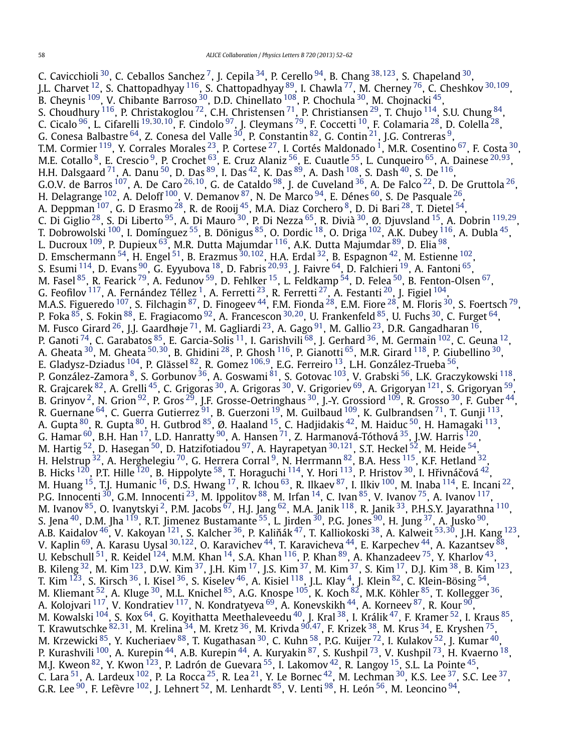C. Cavicchioli [30,](#page-8-0) C. Ceballos Sanchez [7,](#page-8-0) J. Cepila [34,](#page-8-0) P. Cerello [94,](#page-9-0) B. Chang [38](#page-8-0)*,*[123,](#page-9-0) S. Chapeland [30,](#page-8-0) J.L. Charvet [12,](#page-8-0) S. Chattopadhyay [116,](#page-9-0) S. Chattopadhyay [89,](#page-9-0) I. Chawla [77,](#page-9-0) M. Cherney [76,](#page-9-0) C. Cheshkov [30](#page-8-0)*,*[109,](#page-9-0) B. Cheynis <sup>[109](#page-9-0)</sup>, V. Chibante Barroso <sup>30</sup>, D.D. Chinellato <sup>108</sup>, P. Chochula <sup>30</sup>, M. Chojnacki <sup>45</sup>, S. Choudhury  $^{116}$ , P. Christakoglou  $^{72}$ , C.H. Christensen  $^{71}$ , P. Christiansen  $^{29}$ , T. Chujo  $^{114}$ , S.U. Chung  $^{84}$ , C. Cicalo [96,](#page-9-0) L. Cifarelli [19](#page-8-0)*,*[30](#page-8-0)*,*[10,](#page-8-0) F. Cindolo [97,](#page-9-0) J. Cleymans [79,](#page-9-0) F. Coccetti [10,](#page-8-0) F. Colamaria [28,](#page-8-0) D. Colella [28,](#page-8-0) G. Conesa Balbastre $^{64}$ , Z. Conesa del Valle $^{30}$ , P. Constantin $^{82}$ , G. Contin $^{21}$ , J.G. Contreras $^9$  $^9$ , T.M. Cormier  $^{119}$ , Y. Corrales Morales  $^{23}$  $^{23}$  $^{23}$ , P. Cortese  $^{27}$ , I. Cortés Maldonado [1,](#page-8-0) M.R. Cosentino  $^{67}$ , F. Costa  $^{30}$ , M.E. Cotallo [8,](#page-8-0) E. Crescio [9](#page-8-0), P. Crochet [63,](#page-9-0) E. Cruz Alaniz [56,](#page-9-0) E. Cuautle [55,](#page-9-0) L. Cunqueiro [65,](#page-9-0) A. Dainese [20](#page-8-0)*,*[93](#page-9-0), H.H. Dalsgaard  $^{71}$  $^{71}$  $^{71}$ , A. Danu  $^{50}$ , D. Das  $^{89}$  $^{89}$  $^{89}$ , I. Das  $^{42}$ , K. Das  $^{89}$ , A. Dash  $^{108}$ , S. Dash  $^{40}$ , S. De  $^{116}$ , G.O.V. de Barros [107,](#page-9-0) A. De Caro [26](#page-8-0)*,*[10,](#page-8-0) G. de Cataldo [98](#page-9-0), J. de Cuveland [36,](#page-8-0) A. De Falco [22,](#page-8-0) D. De Gruttola [26](#page-8-0), H. Delagrange  $^{102}$ , A. Deloff  $^{100}$ , V. Demanov  $^{87}$ , N. De Marco  $^{94}$ , E. Dénes  $^{60}$  $^{60}$  $^{60}$ , S. De Pasquale  $^{26},$ A. Deppman  $^{107}$  $^{107}$  $^{107}$ , G. D Erasmo  $^{28}$ , R. de Rooij  $^{45}$ , M.A. Diaz Corchero  $^8$ , D. Di Bari  $^{28}$ , T. Dietel  $^{54}$ , C. Di Giglio [28,](#page-8-0) S. Di Liberto [95,](#page-9-0) A. Di Mauro [30,](#page-8-0) P. Di Nezza [65,](#page-9-0) R. Divià [30](#page-8-0), Ø. Djuvsland [15,](#page-8-0) A. Dobrin [119](#page-9-0)*,*[29,](#page-8-0) T. Dobrowolski  $^{100}$  $^{100}$  $^{100}$ , I. Domínguez  $^{55}$ , B. Dönigus  $^{85}$ , O. Dordic  $^{18}$ , O. Driga  $^{102}$ , A.K. Dubey  $^{116}$  $^{116}$  $^{116}$ , A. Dubla  $^{45}$ , L. Ducroux <sup>[109](#page-9-0)</sup>, P. Dupieux <sup>63</sup>, M.R. Dutta Majumdar <sup>116</sup>, A.K. Dutta Majumdar <sup>89</sup>, D. Elia <sup>98</sup>, D. Emschermann [54,](#page-9-0) H. Engel [51](#page-9-0), B. Erazmus [30](#page-8-0)*,*[102,](#page-9-0) H.A. Erdal [32,](#page-8-0) B. Espagnon [42](#page-8-0), M. Estienne [102,](#page-9-0) S. Esumi [114,](#page-9-0) D. Evans [90,](#page-9-0) G. Eyyubova [18,](#page-8-0) D. Fabris [20](#page-8-0)*,*[93,](#page-9-0) J. Faivre [64](#page-9-0), D. Falchieri [19,](#page-8-0) A. Fantoni [65,](#page-9-0) M. Fasel  $^{85}$ , R. Fearick  $^{79}$  $^{79}$  $^{79}$ , A. Fedunov  $^{59}$  $^{59}$  $^{59}$ , D. Fehlker  $^{15}$  $^{15}$  $^{15}$ , L. Feldkamp  $^{54}$ , D. Felea  $^{50}$ , B. Fenton-Olsen  $^{67},$  $^{67},$  $^{67},$ G. Feofilov  $^{117}$ , A. Fernández Téllez  $^1$ , A. Ferretti  $^{23}$ , R. Ferretti  $^{27}$  $^{27}$  $^{27}$ , A. Festanti  $^{20}$ , J. Figiel  $^{104},$ M.A.S. Figueredo  $^{107}$  $^{107}$  $^{107}$ , S. Filchagin  $^{87}$ , D. Finogeev  $^{44}$  $^{44}$  $^{44}$ , F.M. Fionda  $^{28}$ , E.M. Fiore  $^{28}$ , M. Floris  $^{30}$ , S. Foertsch  $^{79}$ , P. Foka [85,](#page-9-0) S. Fokin [88,](#page-9-0) E. Fragiacomo [92,](#page-9-0) A. Francescon [30](#page-8-0)*,*[20,](#page-8-0) U. Frankenfeld [85,](#page-9-0) U. Fuchs [30,](#page-8-0) C. Furget [64,](#page-9-0) M. Fusco Girard <sup>26</sup>, J.J. Gaardhøje <sup>[71](#page-9-0)</sup>, M. Gagliardi <sup>23</sup>, A. Gago <sup>91</sup>, M. Gallio <sup>23</sup>, D.R. Gangadharan <sup>16</sup>, P. Ganoti  $^{74}$  $^{74}$  $^{74}$ , C. Garabatos  $^{85}$ , E. Garcia-Solis  $^{11}$ , I. Garishvili  $^{68}$ , J. Gerhard  $^{36}$  $^{36}$  $^{36}$ , M. Germain  $^{102}$  $^{102}$  $^{102}$ , C. Geuna  $^{12}$ , A. Gheata [30,](#page-8-0) M. Gheata [50](#page-9-0)*,*[30,](#page-8-0) B. Ghidini [28,](#page-8-0) P. Ghosh [116,](#page-9-0) P. Gianotti [65,](#page-9-0) M.R. Girard [118,](#page-9-0) P. Giubellino [30,](#page-8-0) E. Gladysz-Dziadus [104,](#page-9-0) P. Glässel [82,](#page-9-0) R. Gomez [106](#page-9-0)*,*[9,](#page-8-0) E.G. Ferreiro [13,](#page-8-0) L.H. González-Trueba [56,](#page-9-0) P. González-Zamora <sup>8</sup>, S. Gorbunov <sup>36</sup>, A. Goswami <sup>81</sup>, S. Gotovac <sup>103</sup>, V. Grabski <sup>56</sup>, L.K. Graczykowski <sup>118</sup>, R. Grajcarek <sup>82</sup>, A. Grelli <sup>45</sup>, C. Grigoras <sup>30</sup>, A. Grigoras <sup>30</sup>, V. Grigoriev <sup>69</sup>, A. Grigoryan <sup>121</sup>, S. Grigoryan <sup>59</sup>, B. Grinyov <sup>2</sup>, N. Grion  $^{92}$  $^{92}$  $^{92}$ , P. Gros  $^{29}$ , J.F. Grosse-Oetringhaus  $^{30}$ , J.-Y. Grossiord  $^{109}$ , R. Grosso  $^{30}$ , F. Guber  $^{44}$ , R. Guernane  $^{64}$ , C. Guerra Gutierrez  $^{91}$ , B. Guerzoni  $^{19}$ , M. Guilbaud  $^{109}$ , K. Gulbrandsen  $^{71}$ , T. Gunji  $^{113}$  $^{113}$  $^{113}$ , A. Gupta  $^{80}$ , R. Gupta  $^{80}$ , H. Gutbrod  $^{85}$  $^{85}$  $^{85}$ , Ø. Haaland  $^{15}$  $^{15}$  $^{15}$ , C. Hadjidakis  $^{42}$ , M. Haiduc  $^{50}$ , H. Hamagaki  $^{113}$ , G. Hamar  $^{60}$ , B.H. Han  $^{17}$  $^{17}$  $^{17}$ , L.D. Hanratty  $^{90}$ , A. Hansen  $^{71}$ , Z. Harmanová-Tóthová  $^{35}$ , J.W. Harris  $^{120}$ , M. Hartig <sup>52</sup>, D. Hasegan <sup>50</sup>, D. Hatzifotiadou <sup>97</sup>, A. Hayrapetyan <sup>[30](#page-8-0),121</sup>, S.T. Heckel <sup>[52](#page-9-0)</sup>, M. Heide <sup>54</sup>, H. Helstrup  $^{32}$ , A. Herghelegiu  $^{70}$ , G. Herrera Corral  $^{9}$ , N. Herrmann  $^{82}$ , B.A. Hess  $^{115}$ , K.F. Hetland  $^{32}$ , B. Hicks  $^{120}$ , P.T. Hille  $^{120}$ , B. Hippolyte  $^{58}$ , T. Horaguchi  $^{114}$  $^{114}$  $^{114}$ , Y. Hori  $^{113}$ , P. Hristov  $^{30}$ , I. Hřivnáčová  $^{42}$ , M. Huang  $^{15}$ , T.J. Humanic  $^{16}$ , D.S. Hwang  $^{17}$ , R. Ichou  $^{63}$ , R. Ilkaev  $^{87}$ , I. Ilkiv  $^{100}$ , M. Inaba  $^{114}$ , E. Incani  $^{22}$ , P.G. Innocenti  $^{30}$ , G.M. Innocenti  $^{23}$ , M. Ippolitov  $^{88}$ , M. Irfan  $^{14}$ , C. Ivan  $^{85}$ , V. Ivanov  $^{75}$  $^{75}$  $^{75}$ , A. Ivanov  $^{117}$ , M. Ivanov <sup>85</sup>, O. Ivanytskyi <sup>2</sup>, P.M. Jacobs <sup>67</sup>, H.J. Jang <sup>62</sup>, M.A. Janik <sup>118</sup>, R. Janik <sup>33</sup>, P.H.S.Y. Jayarathna <sup>110</sup>, S. Jena  $^{40}$  $^{40}$  $^{40}$ , D.M. Jha  $^{119}$ , R.T. Jimenez Bustamante  $^{55}$ , L. Jirden  $^{30}$ , P.G. Jones  $^{90}$ , H. Jung  $^{37}$ , A. Jusko  $^{90}$ , A.B. Kaidalov <sup>46</sup>, V. Kakoyan <sup>121</sup>, S. Kalcher <sup>36</sup>, P. Kaliňák <sup>47</sup>, T. Kalliokoski <sup>38</sup>, A. Kalweit <sup>[53](#page-9-0),30</sup>, J.H. Kang <sup>123</sup>, V. Kaplin [69,](#page-9-0) A. Karasu Uysal [30](#page-8-0)*,*[122,](#page-9-0) O. Karavichev [44](#page-8-0), T. Karavicheva [44](#page-8-0), E. Karpechev [44,](#page-8-0) A. Kazantsev [88,](#page-9-0) U. Kebschull  $^{51}$ , R. Keidel  $^{124}$ , M.M. Khan  $^{14}$ , S.A. Khan  $^{116}$ , P. Khan  $^{89}$ , A. Khanzadeev  $^{75}$ , Y. Kharlov  $^{43}$ , B. Kileng  $^{32}$  $^{32}$  $^{32}$ , M. Kim  $^{123}$ , D.W. Kim  $^{37}$ , J.H. Kim  $^{17}$ , J.S. Kim  $^{37}$ , M. Kim  $^{37}$ , S. Kim  $^{17}$ , D.J. Kim  $^{38}$ , B. Kim  $^{123}$ , T. Kim  $^{123}$ , S. Kirsch  $^{36}$ , I. Kisel  $^{36}$ , S. Kiselev  $^{46}$ , A. Kisiel  $^{118}$ , J.L. Klay  $^4$ , J. Klein  $^{82}$ , C. Klein-Bösing  $^{54}$ , M. Kliemant <sup>52</sup>, A. Kluge <sup>[30](#page-8-0)</sup>, M.L. Knichel <sup>85</sup>, A.G. Knospe <sup>105</sup>, K. Koch <sup>82</sup>, M.K. Köhler <sup>85</sup>, T. Kollegger <sup>36</sup>, A. Kolojvari <sup>117</sup>, V. Kondratiev <sup>117</sup>, N. Kondratyeva <sup>[69](#page-9-0)</sup>, A. Konevskikh <sup>44</sup>, A. Korneev <sup>87</sup>, R. Kour <sup>90</sup>, M. Kowalski  $^{104}$ , S. Kox  $^{64}$ , G. Koyithatta Meethaleveedu  $^{40}$ , J. Kral  $^{38}$ , I. Králik  $^{47}$ , F. Kramer  $^{52}$ , I. Kraus  $^{85}$ , T. Krawutschke [82](#page-9-0)*,*[31,](#page-8-0) M. Krelina [34,](#page-8-0) M. Kretz [36](#page-8-0), M. Krivda [90](#page-9-0)*,*[47,](#page-9-0) F. Krizek [38,](#page-8-0) M. Krus [34,](#page-8-0) E. Kryshen [75](#page-9-0), M. Krzewicki <sup>85</sup>, Y. Kucheriaev <sup>88</sup>, T. Kugathasan <sup>30</sup>, C. Kuhn <sup>58</sup>, P.G. Kuijer <sup>72</sup>, I. Kulakov <sup>52</sup>, J. Kumar <sup>40</sup>, P. Kurashvili <sup>100</sup>, A. Kurepin <sup>44</sup>, A.B. Kurepin <sup>44</sup>, A. Kuryakin <sup>87</sup>, S. Kushpil <sup>[73](#page-9-0)</sup>, V. Kushpil <sup>73</sup>, H. Kvaerno <sup>18</sup>, M.J. Kweon $^{82}$ , Y. Kwon $^{123}$  $^{123}$  $^{123}$ , P. Ladrón de Guevara $^{55}$ , I. Lakomov $^{42}$ , R. Langoy $^{15}$ , S.L. La Pointe $^{45}$ , C. Lara  $^{51}$ , A. Lardeux  $^{102}$ , P. La Rocca  $^{25}$ , R. Lea  $^{21}$ , Y. Le Bornec  $^{42}$ , M. Lechman  $^{30}$ , K.S. Lee  $^{37}$  $^{37}$  $^{37}$ , S.C. Lee  $^{37}$ , G.R. Lee  $^{90}$ , F. Lefèvre  $^{102}$ , J. Lehnert  $^{52}$ , M. Lenhardt  $^{85}$ , V. Lenti  $^{98}$ , H. León  $^{56}$ , M. Leoncino  $^{94}$ ,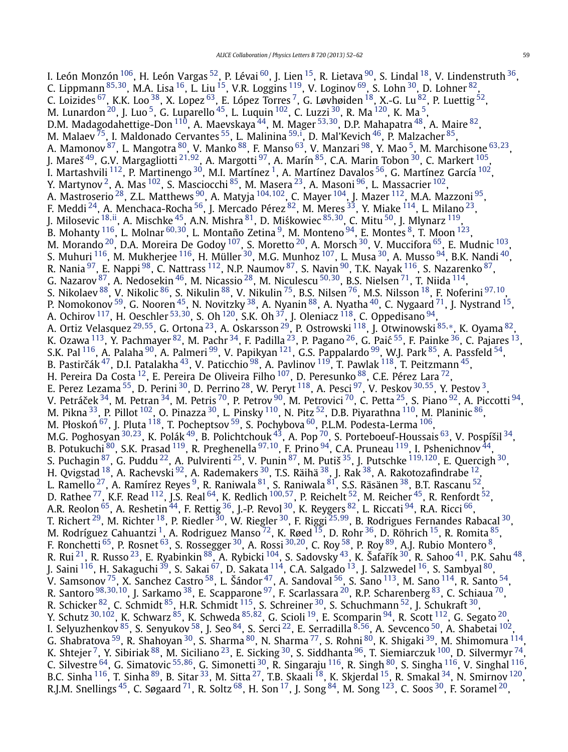I. León Monzón $^{106}$ , H. León Vargas $^{52}$ , P. Lévai $^{60}$ , J. Lien $^{15}$ , R. Lietava $^{90}$ , S. Lindal $^{18}$ , V. Lindenstruth $^{36}$ , C. Lippmann [85](#page-9-0)*,*[30,](#page-8-0) M.A. Lisa [16,](#page-8-0) L. Liu [15,](#page-8-0) V.R. Loggins [119,](#page-9-0) V. Loginov [69,](#page-9-0) S. Lohn [30,](#page-8-0) D. Lohner [82,](#page-9-0) C. Loizides  $^{67}$ , K.K. Loo $^{38}$ , X. Lopez  $^{63}$  $^{63}$  $^{63}$ , E. López Torres  $^7$ , G. Løvhøiden  $^{18}$ , X.-G. Lu $^{82}$ , P. Luettig  $^{52}$  $^{52}$  $^{52}$ , M. Lunardon  $^{20}$ , J. Luo  $^5$ , G. Luparello  $^{45}$ , L. Luquin  $^{102}$ , C. Luzzi  $^{30}$ , R. Ma  $^{120}$ , K. Ma  $^5$ , D.M. Madagodahettige-Don<sup>110</sup>, A. Maevskaya<sup>44</sup>, M. Mager <sup>[53](#page-9-0),[30](#page-8-0)</sup>, D.P. Mahapatra<sup>48</sup>, A. Maire <sup>82</sup>, M. Malaev <sup>75</sup>, I. Maldonado Cervantes <sup>55</sup>, L. Malinina <sup>[59](#page-9-0),[i](#page-10-0)</sup>, D. Mal'Kevich <sup>46</sup>, P. Malzacher <sup>85</sup>, A. Mamonov [87,](#page-9-0) L. Mangotra [80,](#page-9-0) V. Manko [88](#page-9-0), F. Manso [63,](#page-9-0) V. Manzari [98,](#page-9-0) Y. Mao [5,](#page-8-0) M. Marchisone [63](#page-9-0)*,*[23,](#page-8-0) J. Mareš [49,](#page-9-0) G.V. Margagliotti [21](#page-8-0)*,*[92,](#page-9-0) A. Margotti [97,](#page-9-0) A. Marín [85,](#page-9-0) C.A. Marin Tobon [30,](#page-8-0) C. Markert [105,](#page-9-0) I. Martashvili  $^{112}$ , P. Martinengo  $^{30}$ , M.I. Martínez  $^1$ , A. Martínez Davalos  $^{56}$ , G. Martínez García  $^{102}$ , Y. Martynov <sup>[2](#page-8-0)</sup>, A. Mas <sup>102</sup>, S. Masciocchi <sup>[85](#page-9-0)</sup>, M. Masera <sup>23</sup>, A. Masoni <sup>96</sup>, L. Massacrier <sup>102</sup>, A. Mastroserio [28,](#page-8-0) Z.L. Matthews [90,](#page-9-0) A. Matyja [104](#page-9-0)*,*[102,](#page-9-0) C. Mayer [104,](#page-9-0) J. Mazer [112,](#page-9-0) M.A. Mazzoni [95,](#page-9-0) F. Meddi  $^{24}$ , A. Menchaca-Rocha  $^{56}$ , J. Mercado Pérez  $^{82}$ , M. Meres  $^{33}$ , Y. Miake  $^{114}$ , L. Milano  $^{23}$ , J. Milosevic [18](#page-8-0)*,*[ii,](#page-10-0) A. Mischke [45,](#page-9-0) A.N. Mishra [81,](#page-9-0) D. Miskowiec ´ [85](#page-9-0)*,*[30,](#page-8-0) C. Mitu [50,](#page-9-0) J. Mlynarz [119,](#page-9-0) B. Mohanty <sup>116</sup>, L. Molnar <sup>[60](#page-9-0),30</sup>, L. Montaño Zetina <sup>9</sup>, M. Monteno <sup>94</sup>, E. Montes <sup>8</sup>, T. Moon <sup>123</sup>, M. Morando <sup>20</sup>, D.A. Moreira De Godoy <sup>107</sup>, S. Moretto <sup>20</sup>, A. Morsch <sup>30</sup>, V. Muccifora <sup>65</sup>, E. Mudnic <sup>103</sup>, S. Muhuri  $^{116}$ , M. Mukherjee  $^{116}$ , H. Müller  $^{30}$ , M.G. Munhoz  $^{107}$ , L. Musa  $^{30}$ , A. Musso  $^{94}$ , B.K. Nandi  $^{40}$ , R. Nania  $^{97}$ , E. Nappi  $^{98}$ , C. Nattrass  $^{112}$ , N.P. Naumov  $^{87}$  $^{87}$  $^{87}$ , S. Navin  $^{90}$  $^{90}$  $^{90}$ , T.K. Nayak  $^{116}$ , S. Nazarenko  $^{87}$ , G. Nazarov [87,](#page-9-0) A. Nedosekin [46,](#page-9-0) M. Nicassio [28,](#page-8-0) M. Niculescu [50](#page-9-0)*,*[30,](#page-8-0) B.S. Nielsen [71,](#page-9-0) T. Niida [114,](#page-9-0) S. Nikolaev [88,](#page-9-0) V. Nikolic [86,](#page-9-0) S. Nikulin [88](#page-9-0), V. Nikulin [75,](#page-9-0) B.S. Nilsen [76,](#page-9-0) M.S. Nilsson [18,](#page-8-0) F. Noferini [97](#page-9-0)*,*[10,](#page-8-0) P. Nomokonov <sup>59</sup>, G. Nooren <sup>45</sup>, N. Novitzky <sup>38</sup>, A. Nyanin <sup>88</sup>, A. Nyatha <sup>[40](#page-8-0)</sup>, C. Nygaard <sup>71</sup>, J. Nystrand <sup>15</sup>, A. Ochirov [117,](#page-9-0) H. Oeschler [53](#page-9-0)*,*[30,](#page-8-0) S. Oh [120,](#page-9-0) S.K. Oh [37,](#page-8-0) J. Oleniacz [118,](#page-9-0) C. Oppedisano [94,](#page-9-0) A. Ortiz Velasquez [29](#page-8-0)*,*[55,](#page-9-0) G. Ortona [23,](#page-8-0) A. Oskarsson [29,](#page-8-0) P. Ostrowski [118,](#page-9-0) J. Otwinowski [85](#page-9-0)*,*[∗](#page-10-0), K. Oyama [82,](#page-9-0) K. Ozawa  $^{113}$ , Y. Pachmayer  $^{82}$ , M. Pachr  $^{34}$ , F. Padilla  $^{23}$ , P. Pagano  $^{26}$ , G. Paić  $^{55}$  $^{55}$  $^{55}$ , F. Painke  $^{36}$ , C. Pajares  $^{13}$ , S.K. Pal <sup>116</sup>, A. Palaha <sup>90</sup>, A. Palmeri <sup>99</sup>, V. Papikyan <sup>121</sup>, G.S. Pappalardo <sup>99</sup>, W.J. Park <sup>85</sup>, A. Passfeld <sup>54</sup>, B. Pastirčák $^{47}$ , D.I. Patalakha $^{43}$ , V. Paticchio $^{98}$ , A. Pavlinov  $^{119}$  $^{119}$  $^{119}$ , T. Pawlak  $^{118}$ , T. Peitzmann $^{45}$ , H. Pereira Da Costa $^{12}$ , E. Pereira De Oliveira Filho $^{107}$ , D. Peresunko $^{88}$ , C.E. Pérez Lara $^{72}$ , E. Perez Lezama [55,](#page-9-0) D. Perini [30](#page-8-0), D. Perrino [28,](#page-8-0) W. Peryt [118,](#page-9-0) A. Pesci [97,](#page-9-0) V. Peskov [30](#page-8-0)*,*[55,](#page-9-0) Y. Pestov [3,](#page-8-0) V. Petráček $^{34}$ , M. Petran $^{34}$ , M. Petris $^{70}$ , P. Petrov $^{90}$ , M. Petrovici $^{70}$ , C. Petta $^{25}$ , S. Piano $^{92}$ , A. Piccotti $^{94}$ , M. Pikna $^{33}$ , P. Pillot  $^{102}$ , O. Pinazza $^{30}$ , L. Pinsky  $^{110}$ , N. Pitz  $^{52}$  $^{52}$  $^{52}$ , D.B. Piyarathna  $^{110}$ , M. Planinic  $^{86}$ , M. Płoskoń  $^{67}$ , J. Pluta  $^{118}$ , T. Pocheptsov  $^{59}$ , S. Pochybova  $^{60}$ , P.L.M. Podesta-Lerma  $^{106}$ , M.G. Poghosyan [30](#page-8-0)*,*[23,](#page-8-0) K. Polák [49,](#page-9-0) B. Polichtchouk [43](#page-8-0), A. Pop [70,](#page-9-0) S. Porteboeuf-Houssais [63,](#page-9-0) V. Pospíšil [34,](#page-8-0) B. Potukuchi <sup>80</sup>, S.K. Prasad <sup>119</sup>, R. Preghenella <sup>[97](#page-9-0),10</sup>, F. Prino <sup>94</sup>, C.A. Pruneau <sup>119</sup>, I. Pshenichnov <sup>44</sup>, S. Puchagin [87,](#page-9-0) G. Puddu [22,](#page-8-0) A. Pulvirenti [25,](#page-8-0) V. Punin [87,](#page-9-0) M. Putiš [35,](#page-8-0) J. Putschke [119](#page-9-0)*,*[120,](#page-9-0) E. Quercigh [30,](#page-8-0) H. Qvigstad  $^{18}$ , A. Rachevski  $^{92}$ , A. Rademakers  $^{30}$ , T.S. Räihä  $^{38}$ , J. Rak  $^{38}$ , A. Rakotozafindrabe  $^{12}$ , L. Ramello <sup>27</sup>, A. Ramírez Reyes <sup>9</sup>, R. Raniwala <sup>81</sup>, S. Raniwala <sup>81</sup>, S.S. Räsänen <sup>38</sup>, B.T. Rascanu <sup>52</sup>, D. Rathee [77,](#page-9-0) K.F. Read [112,](#page-9-0) J.S. Real [64,](#page-9-0) K. Redlich [100](#page-9-0)*,*[57,](#page-9-0) P. Reichelt [52,](#page-9-0) M. Reicher [45,](#page-9-0) R. Renfordt [52,](#page-9-0) A.R. Reolon  $^{65}$ , A. Reshetin  $^{44}$ , F. Rettig  $^{36}$ , J.-P. Revol  $^{30}$ , K. Reygers  $^{82}$ , L. Riccati  $^{94}$ , R.A. Ricci  $^{66},$ T. Richert [29,](#page-8-0) M. Richter [18,](#page-8-0) P. Riedler [30,](#page-8-0) W. Riegler [30,](#page-8-0) F. Riggi [25](#page-8-0)*,*[99,](#page-9-0) B. Rodrigues Fernandes Rabacal [30,](#page-8-0) M. Rodríguez Cahuantzi  $^1$ , A. Rodriguez Manso  $^{72}$ , K. Røed  $^{15}$ , D. Rohr  $^{36}$ , D. Röhrich  $^{15}$ , R. Romita  $^{85}$  $^{85}$  $^{85}$ , F. Ronchetti [65,](#page-9-0) P. Rosnet [63](#page-9-0), S. Rossegger [30,](#page-8-0) A. Rossi [30](#page-8-0)*,*[20](#page-8-0), C. Roy [58,](#page-9-0) P. Roy [89,](#page-9-0) A.J. Rubio Montero [8,](#page-8-0) R. Rui <sup>[21](#page-8-0)</sup>, R. Russo <sup>[23](#page-8-0)</sup>, E. Ryabinkin <sup>88</sup>, A. Rybicki <sup>104</sup>, S. Sadovsky <sup>43</sup>, K. Šafařík <sup>30</sup>, R. Sahoo <sup>41</sup>, P.K. Sahu <sup>48</sup>, J. Saini <sup>116</sup>, H. Sakaguchi <sup>39</sup>, S. Sakai <sup>67</sup>, D. Sakata <sup>114</sup>, C.A. Salgado <sup>13</sup>, J. Salzwedel <sup>16</sup>, S. Sambyal <sup>80</sup>, V. Samsonov $^{75}$  $^{75}$  $^{75}$ , X. Sanchez Castro $^{58}$ , L. Šándor $^{47}$ , A. Sandoval $^{56}$ , S. Sano $^{113}$ , M. Sano $^{114}$ , R. Santo $^{54}$ , R. Santoro [98](#page-9-0)*,*[30](#page-8-0)*,*[10,](#page-8-0) J. Sarkamo [38,](#page-8-0) E. Scapparone [97,](#page-9-0) F. Scarlassara [20,](#page-8-0) R.P. Scharenberg [83,](#page-9-0) C. Schiaua [70,](#page-9-0) R. Schicker <sup>82</sup>, C. Schmidt <sup>85</sup>, H.R. Schmidt <sup>115</sup>, S. Schreiner <sup>30</sup>, S. Schuchmann <sup>52</sup>, J. Schukraft <sup>30</sup>, Y. Schutz [30](#page-8-0)*,*[102,](#page-9-0) K. Schwarz [85,](#page-9-0) K. Schweda [85](#page-9-0)*,*[82,](#page-9-0) G. Scioli [19,](#page-8-0) E. Scomparin [94,](#page-9-0) R. Scott [112,](#page-9-0) G. Segato [20,](#page-8-0) I. Selyuzhenkov [85](#page-9-0), S. Senyukov [58,](#page-9-0) J. Seo [84,](#page-9-0) S. Serci [22,](#page-8-0) E. Serradilla [8](#page-8-0)*,*[56,](#page-9-0) A. Sevcenco [50,](#page-9-0) A. Shabetai [102](#page-9-0), G. Shabratova <sup>59</sup>, R. Shahoyan <sup>30</sup>, S. Sharma <sup>80</sup>, N. Sharma <sup>77</sup>, S. Rohni <sup>80</sup>, K. Shigaki <sup>39</sup>, M. Shimomura <sup>[114](#page-9-0)</sup>, K. Shtejer  $^7$ , Y. Sibiriak  $^{88}$ , M. Siciliano  $^{23}$ , E. Sicking  $^{30}$ , S. Siddhanta  $^{96}$ , T. Siemiarczuk  $^{100}$ , D. Silvermyr  $^{74}$ , C. Silvestre [64,](#page-9-0) G. Simatovic [55](#page-9-0)*,*[86,](#page-9-0) G. Simonetti [30,](#page-8-0) R. Singaraju [116,](#page-9-0) R. Singh [80,](#page-9-0) S. Singha [116,](#page-9-0) V. Singhal [116,](#page-9-0) B.C. Sinha $^{116}$ , T. Sinha $^{89}$  $^{89}$  $^{89}$ , B. Sitar $^{33}$ , M. Sitta $^{27}$ , T.B. Skaali $^{18}$ , K. Skjerdal $^{15}$ , R. Smakal $^{34}$ , N. Smirnov $^{120}$ , R.J.M. Snellings  $^{45}$  $^{45}$  $^{45}$ , C. Søgaard  $^{71}$ , R. Soltz  $^{68}$ , H. Son  $^{17}$ , J. Song  $^{84}$ , M. Song  $^{123}$ , C. Soos  $^{30}$ , F. Soramel  $^{20}$  $^{20}$  $^{20}$ ,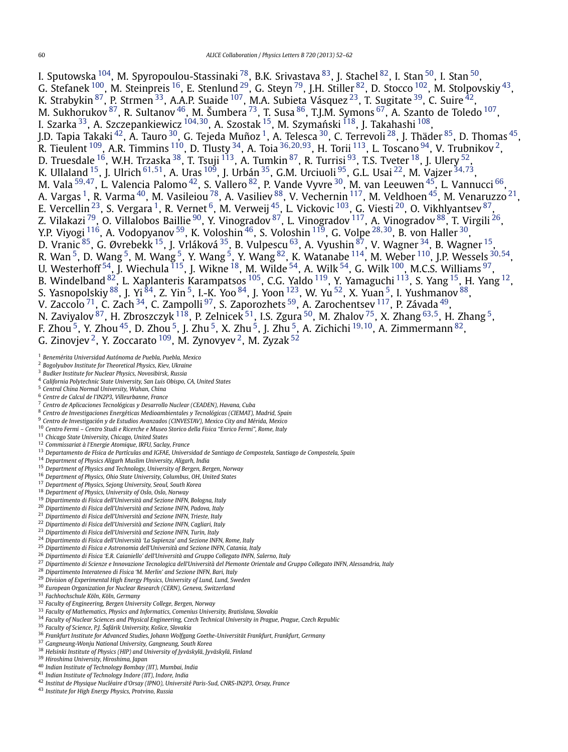<span id="page-8-0"></span>I. Sputowska <sup>104</sup>, M. Spyropoulou-Stassinaki <sup>78</sup>, B.K. Srivastava <sup>83</sup>, J. Stachel <sup>82</sup>, I. Stan <sup>50</sup>, I. Stan <sup>50</sup>, G. Stefanek  $^{100}$ , M. Steinpreis  $^{16}$ , E. Stenlund  $^{29}$ , G. Steyn  $^{79}$ , J.H. Stiller  $^{82}$ , D. Stocco  $^{102}$  $^{102}$  $^{102}$ , M. Stolpovskiy  $^{43}$ , K. Strabykin $^{87}$ , P. Strmen $^{33}$ , A.A.P. Suaide  $^{107}$ , M.A. Subieta Vásquez $^{23}$ , T. Sugitate  $^{39}$ , C. Suire  $^{42}$ , M. Sukhorukov $^{87}$ , R. Sultanov $^{46}$  $^{46}$  $^{46}$ , M. Šumbera $^{73}$ , T. Susa $^{86}$  $^{86}$  $^{86}$ , T.J.M. Symons $^{67}$  $^{67}$  $^{67}$ , A. Szanto de Toledo  $^{107}$ , I. Szarka <sup>33</sup>, A. Szczepankiewicz <sup>[104](#page-9-0),30</sup>, A. Szostak <sup>15</sup>, M. Szymański <sup>118</sup>, J. Takahashi <sup>108</sup>, J.D. Tapia Takaki <sup>42</sup>, A. Tauro <sup>30</sup>, G. Tejeda Muñoz <sup>1</sup>, A. Telesca <sup>30</sup>, C. Terrevoli <sup>28</sup>, J. Thäder <sup>85</sup>, D. Thomas <sup>45</sup>, R. Tieulent [109,](#page-9-0) A.R. Timmins [110,](#page-9-0) D. Tlusty 34, A. Toia <sup>36</sup>*,*20*,*[93,](#page-9-0) H. Torii [113,](#page-9-0) L. Toscano [94,](#page-9-0) V. Trubnikov 2, D. Truesdale  $^{16}$ , W.H. Trzaska  $^{38}$ , T. Tsuji  $^{113}$ , A. Tumkin  $^{87}$ , R. Turrisi  $^{93}$  $^{93}$  $^{93}$ , T.S. Tveter  $^{18}$ , J. Ulery  $^{52}$ , K. Ullaland 15, J. Ulrich [61](#page-9-0)*,*[51,](#page-9-0) A. Uras [109,](#page-9-0) J. Urbán 35, G.M. Urciuoli [95,](#page-9-0) G.L. Usai 22, M. Vajzer <sup>34</sup>*,*[73,](#page-9-0) M. Vala [59](#page-9-0)*,*[47](#page-9-0), L. Valencia Palomo 42, S. Vallero [82,](#page-9-0) P. Vande Vyvre 30, M. van Leeuwen [45,](#page-9-0) L. Vannucci [66,](#page-9-0) A. Vargas  $^1$ , R. Varma  $^{40}$ , M. Vasileiou  $^{78}$ , A. Vasiliev  $^{88}$ , V. Vechernin  $^{117}$ , M. Veldhoen  $^{45}$ , M. Venaruzzo  $^{21}$ , E. Vercellin $^{23}$ , S. Vergara  $^1$ , R. Vernet  $^6$ , M. Verweij  $^{45}$ , L. Vickovic  $^{103}$ , G. Viesti  $^{20}$ , O. Vikhlyantsev  $^{87},$ Z. Vilakazi <sup>79</sup>, O. Villalobos Baillie <sup>[90](#page-9-0)</sup>, Y. Vinogradov <sup>87</sup>, L. Vinogradov <sup>[117](#page-9-0)</sup>, A. Vinogradov <sup>88</sup>, T. Virgili <sup>26</sup>, Y.P. Viyogi [116,](#page-9-0) A. Vodopyanov [59,](#page-9-0) K. Voloshin [46,](#page-9-0) S. Voloshin [119,](#page-9-0) G. Volpe <sup>28</sup>*,*30, B. von Haller 30, D. Vranic <sup>85</sup>, G. Øvrebekk <sup>15</sup>, J. Vrláková <sup>35</sup>, B. Vulpescu <sup>63</sup>, A. Vyushin <sup>[87](#page-9-0)</sup>, V. Wagner <sup>34</sup>, B. Wagner <sup>15</sup>, R. Wan 5, D. Wang 5, M. Wang 5, Y. Wang 5, Y. Wang [82,](#page-9-0) K. Watanabe [114,](#page-9-0) M. Weber [110,](#page-9-0) J.P. Wessels <sup>30</sup>*,*[54,](#page-9-0) U. Westerhoff  $^{54}$  $^{54}$  $^{54}$ , J. Wiechula  $^{115}$  $^{115}$  $^{115}$ , J. Wikne  $^{18}$ , M. Wilde  $^{54}$ , A. Wilk  $^{54}$ , G. Wilk  $^{100}$ , M.C.S. Williams  $^{97}$ , B. Windelband  $^{82}$ , L. Xaplanteris Karampatsos  $^{105}$ , C.G. Yaldo  $^{119}$ , Y. Yamaguchi  $^{113}$ , S. Yang  $^{15}$ , H. Yang  $^{12}$ , S. Yasnopolskiy  $^{88}$  $^{88}$  $^{88}$ , J. Yi  $^{84}$  $^{84}$  $^{84}$ , Z. Yin  $^5$ , I.-K. Yoo  $^{84}$ , J. Yoon  $^{123}$ , W. Yu  $^{52}$ , X. Yuan  $^5$ , I. Yushmanov  $^{88}$ , V. Zaccolo <sup>71</sup>, C. Zach <sup>34</sup>, C. Zampolli <sup>97</sup>, S. Zaporozhets <sup>59</sup>, A. Zarochentsev <sup>117</sup>, P. Závada <sup>49</sup>, N. Zaviyalov [87,](#page-9-0) H. Zbroszczyk [118,](#page-9-0) P. Zelnicek [51,](#page-9-0) I.S. Zgura [50,](#page-9-0) M. Zhalov [75,](#page-9-0) X. Zhang [63](#page-9-0)*,*5, H. Zhang 5, F. Zhou 5, Y. Zhou [45,](#page-9-0) D. Zhou 5, J. Zhu 5, X. Zhu 5, J. Zhu 5, A. Zichichi <sup>19</sup>*,*10, A. Zimmermann [82,](#page-9-0) G. Zinovjev  $^2$ , Y. Zoccarato  $^{109}$ , M. Zynovyev  $^2$ , M. Zyzak  $^{52}$  $^{52}$  $^{52}$ 

- *Benemérita Universidad Autónoma de Puebla, Puebla, Mexico*
- *Bogolyubov Institute for Theoretical Physics, Kiev, Ukraine*
- *Budker Institute for Nuclear Physics, Novosibirsk, Russia*
- *California Polytechnic State University, San Luis Obispo, CA, United States*
- *Central China Normal University, Wuhan, China*
- *Centre de Calcul de l'IN2P3, Villeurbanne, France*
- *Centro de Aplicaciones Tecnológicas y Desarrollo Nuclear (CEADEN), Havana, Cuba*
- *Centro de Investigaciones Energéticas Medioambientales y Tecnológicas (CIEMAT), Madrid, Spain*
- *Centro de Investigación y de Estudios Avanzados (CINVESTAV), Mexico City and Mérida, Mexico*
- *Centro Fermi Centro Studi e Ricerche e Museo Storico della Fisica "Enrico Fermi", Rome, Italy*
- *Chicago State University, Chicago, United States*
- *Commissariat à l'Energie Atomique, IRFU, Saclay, France*
- *Departamento de Física de Partículas and IGFAE, Universidad de Santiago de Compostela, Santiago de Compostela, Spain*
- *Department of Physics Aligarh Muslim University, Aligarh, India*
- *Department of Physics and Technology, University of Bergen, Bergen, Norway*
- *Department of Physics, Ohio State University, Columbus, OH, United States*
- *Department of Physics, Sejong University, Seoul, South Korea*
- *Department of Physics, University of Oslo, Oslo, Norway*
- *Dipartimento di Fisica dell'Università and Sezione INFN, Bologna, Italy*
- *Dipartimento di Fisica dell'Università and Sezione INFN, Padova, Italy*
- *Dipartimento di Fisica dell'Università and Sezione INFN, Trieste, Italy*
- *Dipartimento di Fisica dell'Università and Sezione INFN, Cagliari, Italy*
- *Dipartimento di Fisica dell'Università and Sezione INFN, Turin, Italy*
- *Dipartimento di Fisica dell'Università 'La Sapienza' and Sezione INFN, Rome, Italy*
- *Dipartimento di Fisica e Astronomia dell'Università and Sezione INFN, Catania, Italy*
- *Dipartimento di Fisica 'E.R. Caianiello' dell'Università and Gruppo Collegato INFN, Salerno, Italy*
- *Dipartimento di Scienze e Innovazione Tecnologica dell'Università del Piemonte Orientale and Gruppo Collegato INFN, Alessandria, Italy*
- *Dipartimento Interateneo di Fisica 'M. Merlin' and Sezione INFN, Bari, Italy*
- *Division of Experimental High Energy Physics, University of Lund, Lund, Sweden*
- *European Organization for Nuclear Research (CERN), Geneva, Switzerland*
- *Fachhochschule Köln, Köln, Germany*
- *Faculty of Engineering, Bergen University College, Bergen, Norway*
- *Faculty of Mathematics, Physics and Informatics, Comenius University, Bratislava, Slovakia*
- *Faculty of Nuclear Sciences and Physical Engineering, Czech Technical University in Prague, Prague, Czech Republic*
- *Faculty of Science, P.J. Šafárik University, Košice, Slovakia*
- *Frankfurt Institute for Advanced Studies, Johann Wolfgang Goethe-Universität Frankfurt, Frankfurt, Germany*
- *Gangneung-Wonju National University, Gangneung, South Korea*
- *Helsinki Institute of Physics (HIP) and University of Jyväskylä, Jyväskylä, Finland*
- *Hiroshima University, Hiroshima, Japan*
- *Indian Institute of Technology Bombay (IIT), Mumbai, India*
- *Indian Institute of Technology Indore (IIT), Indore, India*
- *Institut de Physique Nucléaire d'Orsay (IPNO), Université Paris-Sud, CNRS-IN2P3, Orsay, France*
- *Institute for High Energy Physics, Protvino, Russia*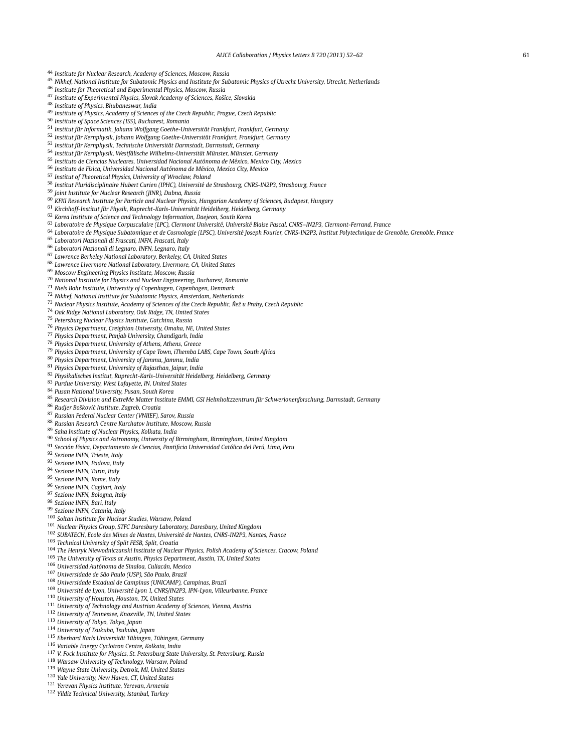<span id="page-9-0"></span>*Institute for Nuclear Research, Academy of Sciences, Moscow, Russia*

- *Nikhef, National Institute for Subatomic Physics and Institute for Subatomic Physics of Utrecht University, Utrecht, Netherlands*
- *Institute for Theoretical and Experimental Physics, Moscow, Russia Institute of Experimental Physics, Slovak Academy of Sciences, Košice, Slovakia*
- *Institute of Physics, Bhubaneswar, India*
- *Institute of Physics, Academy of Sciences of the Czech Republic, Prague, Czech Republic*
- *Institute of Space Sciences (ISS), Bucharest, Romania*
- *Institut für Informatik, Johann Wolfgang Goethe-Universität Frankfurt, Frankfurt, Germany*
- *Institut für Kernphysik, Johann Wolfgang Goethe-Universität Frankfurt, Frankfurt, Germany*
- *Institut für Kernphysik, Technische Universität Darmstadt, Darmstadt, Germany*
- *Institut für Kernphysik, Westfälische Wilhelms-Universität Münster, Münster, Germany*
- *Instituto de Ciencias Nucleares, Universidad Nacional Autónoma de México, Mexico City, Mexico*
- *Instituto de Física, Universidad Nacional Autónoma de México, Mexico City, Mexico*
- *Institut of Theoretical Physics, University of Wroclaw, Poland*
- *Institut Pluridisciplinaire Hubert Curien (IPHC), Université de Strasbourg, CNRS-IN2P3, Strasbourg, France*
- *Joint Institute for Nuclear Research (JINR), Dubna, Russia*
- *KFKI Research Institute for Particle and Nuclear Physics, Hungarian Academy of Sciences, Budapest, Hungary*
- *Kirchhoff-Institut für Physik, Ruprecht-Karls-Universität Heidelberg, Heidelberg, Germany*
- *Korea Institute of Science and Technology Information, Daejeon, South Korea*
- *Laboratoire de Physique Corpusculaire (LPC), Clermont Université, Université Blaise Pascal, CNRS–IN2P3, Clermont-Ferrand, France*
- *Laboratoire de Physique Subatomique et de Cosmologie (LPSC), Université Joseph Fourier, CNRS-IN2P3, Institut Polytechnique de Grenoble, Grenoble, France*
- *Laboratori Nazionali di Frascati, INFN, Frascati, Italy*
- *Laboratori Nazionali di Legnaro, INFN, Legnaro, Italy*
- *Lawrence Berkeley National Laboratory, Berkeley, CA, United States*
- *Lawrence Livermore National Laboratory, Livermore, CA, United States*
- *Moscow Engineering Physics Institute, Moscow, Russia*
- *National Institute for Physics and Nuclear Engineering, Bucharest, Romania*
- *Niels Bohr Institute, University of Copenhagen, Copenhagen, Denmark*
- *Nikhef, National Institute for Subatomic Physics, Amsterdam, Netherlands*
- *Nuclear Physics Institute, Academy of Sciences of the Czech Republic, Rež u Prahy, Czech Republic ˇ*
- *Oak Ridge National Laboratory, Oak Ridge, TN, United States*
- *Petersburg Nuclear Physics Institute, Gatchina, Russia*
- *Physics Department, Creighton University, Omaha, NE, United States*
- *Physics Department, Panjab University, Chandigarh, India*
- *Physics Department, University of Athens, Athens, Greece*
- *Physics Department, University of Cape Town, iThemba LABS, Cape Town, South Africa*
- *Physics Department, University of Jammu, Jammu, India*
- *Physics Department, University of Rajasthan, Jaipur, India*
- *Physikalisches Institut, Ruprecht-Karls-Universität Heidelberg, Heidelberg, Germany*
- *Purdue University, West Lafayette, IN, United States*
- *Pusan National University, Pusan, South Korea*
- *Research Division and ExtreMe Matter Institute EMMI, GSI Helmholtzzentrum für Schwerionenforschung, Darmstadt, Germany*
- *Rudjer Boškovi´c Institute, Zagreb, Croatia*
- *Russian Federal Nuclear Center (VNIIEF), Sarov, Russia*
- *Russian Research Centre Kurchatov Institute, Moscow, Russia*
- *Saha Institute of Nuclear Physics, Kolkata, India*
- *School of Physics and Astronomy, University of Birmingham, Birmingham, United Kingdom*
- *Sección Física, Departamento de Ciencias, Pontificia Universidad Católica del Perú, Lima, Peru*
- *Sezione INFN, Trieste, Italy*
- *Sezione INFN, Padova, Italy*
- *Sezione INFN, Turin, Italy*
- *Sezione INFN, Rome, Italy*
- *Sezione INFN, Cagliari, Italy*
- *Sezione INFN, Bologna, Italy*
- *Sezione INFN, Bari, Italy*
- *Sezione INFN, Catania, Italy*
- *Soltan Institute for Nuclear Studies, Warsaw, Poland*
- *Nuclear Physics Group, STFC Daresbury Laboratory, Daresbury, United Kingdom*
- *SUBATECH, Ecole des Mines de Nantes, Université de Nantes, CNRS-IN2P3, Nantes, France*
- *Technical University of Split FESB, Split, Croatia*
- *The Henryk Niewodniczanski Institute of Nuclear Physics, Polish Academy of Sciences, Cracow, Poland*
- *The University of Texas at Austin, Physics Department, Austin, TX, United States*
- *Universidad Autónoma de Sinaloa, Culiacán, Mexico*
- *Universidade de São Paulo (USP), São Paulo, Brazil*
- *Universidade Estadual de Campinas (UNICAMP), Campinas, Brazil*
- *Université de Lyon, Université Lyon 1, CNRS/IN2P3, IPN-Lyon, Villeurbanne, France*
- *University of Houston, Houston, TX, United States*
- *University of Technology and Austrian Academy of Sciences, Vienna, Austria*
- *University of Tennessee, Knoxville, TN, United States*
- *University of Tokyo, Tokyo, Japan*
- *University of Tsukuba, Tsukuba, Japan*
- *Eberhard Karls Universität Tübingen, Tübingen, Germany*
- *Variable Energy Cyclotron Centre, Kolkata, India*
- *V. Fock Institute for Physics, St. Petersburg State University, St. Petersburg, Russia*
- *Warsaw University of Technology, Warsaw, Poland*
- *Wayne State University, Detroit, MI, United States*
- *Yale University, New Haven, CT, United States*
- *Yerevan Physics Institute, Yerevan, Armenia*
- *Yildiz Technical University, Istanbul, Turkey*